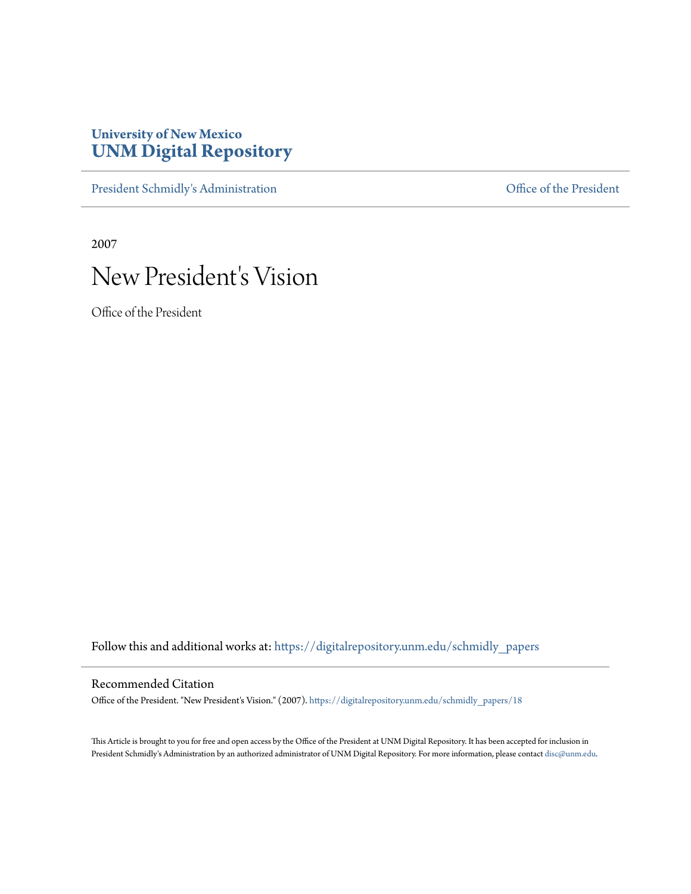## **University of New Mexico [UNM Digital Repository](https://digitalrepository.unm.edu?utm_source=digitalrepository.unm.edu%2Fschmidly_papers%2F18&utm_medium=PDF&utm_campaign=PDFCoverPages)**

[President Schmidly's Administration](https://digitalrepository.unm.edu/schmidly_papers?utm_source=digitalrepository.unm.edu%2Fschmidly_papers%2F18&utm_medium=PDF&utm_campaign=PDFCoverPages) [Office of the President](https://digitalrepository.unm.edu/ofc_president?utm_source=digitalrepository.unm.edu%2Fschmidly_papers%2F18&utm_medium=PDF&utm_campaign=PDFCoverPages)

2007

# New President's Vision

Office of the President

Follow this and additional works at: [https://digitalrepository.unm.edu/schmidly\\_papers](https://digitalrepository.unm.edu/schmidly_papers?utm_source=digitalrepository.unm.edu%2Fschmidly_papers%2F18&utm_medium=PDF&utm_campaign=PDFCoverPages)

#### Recommended Citation

Office of the President. "New President's Vision." (2007). [https://digitalrepository.unm.edu/schmidly\\_papers/18](https://digitalrepository.unm.edu/schmidly_papers/18?utm_source=digitalrepository.unm.edu%2Fschmidly_papers%2F18&utm_medium=PDF&utm_campaign=PDFCoverPages)

This Article is brought to you for free and open access by the Office of the President at UNM Digital Repository. It has been accepted for inclusion in President Schmidly's Administration by an authorized administrator of UNM Digital Repository. For more information, please contact [disc@unm.edu](mailto:disc@unm.edu).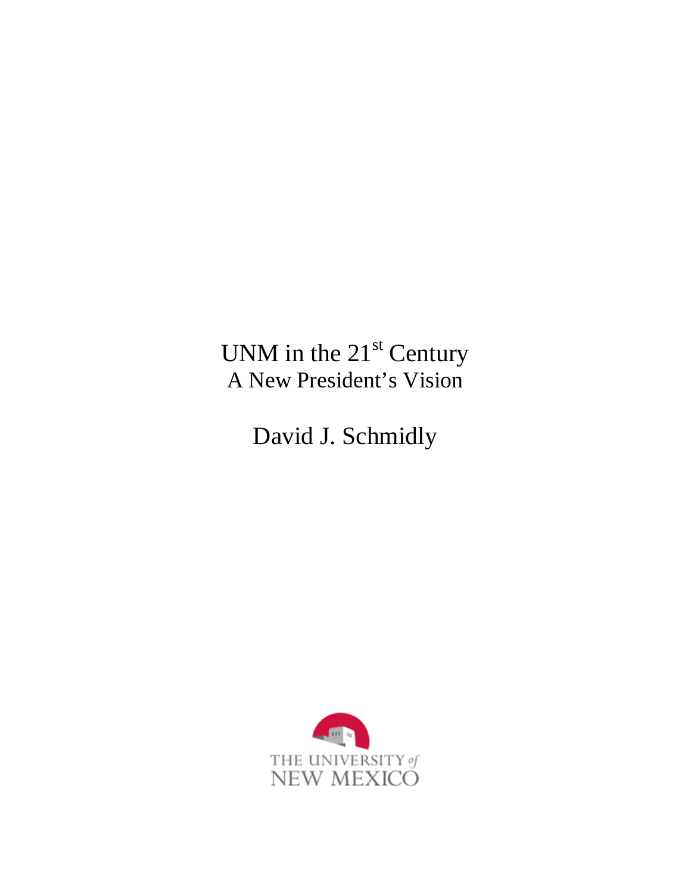UNM in the  $21<sup>st</sup>$  Century A New President's Vision

David J. Schmidly

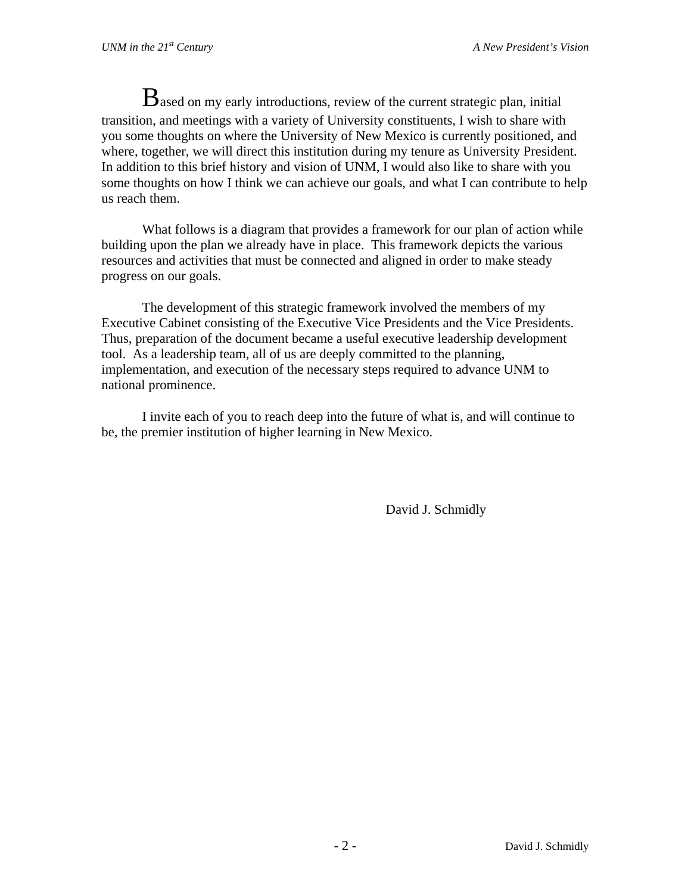$B$  ased on my early introductions, review of the current strategic plan, initial transition, and meetings with a variety of University constituents, I wish to share with you some thoughts on where the University of New Mexico is currently positioned, and where, together, we will direct this institution during my tenure as University President. In addition to this brief history and vision of UNM, I would also like to share with you some thoughts on how I think we can achieve our goals, and what I can contribute to help us reach them.

What follows is a diagram that provides a framework for our plan of action while building upon the plan we already have in place. This framework depicts the various resources and activities that must be connected and aligned in order to make steady progress on our goals.

The development of this strategic framework involved the members of my Executive Cabinet consisting of the Executive Vice Presidents and the Vice Presidents. Thus, preparation of the document became a useful executive leadership development tool. As a leadership team, all of us are deeply committed to the planning, implementation, and execution of the necessary steps required to advance UNM to national prominence.

I invite each of you to reach deep into the future of what is, and will continue to be, the premier institution of higher learning in New Mexico.

David J. Schmidly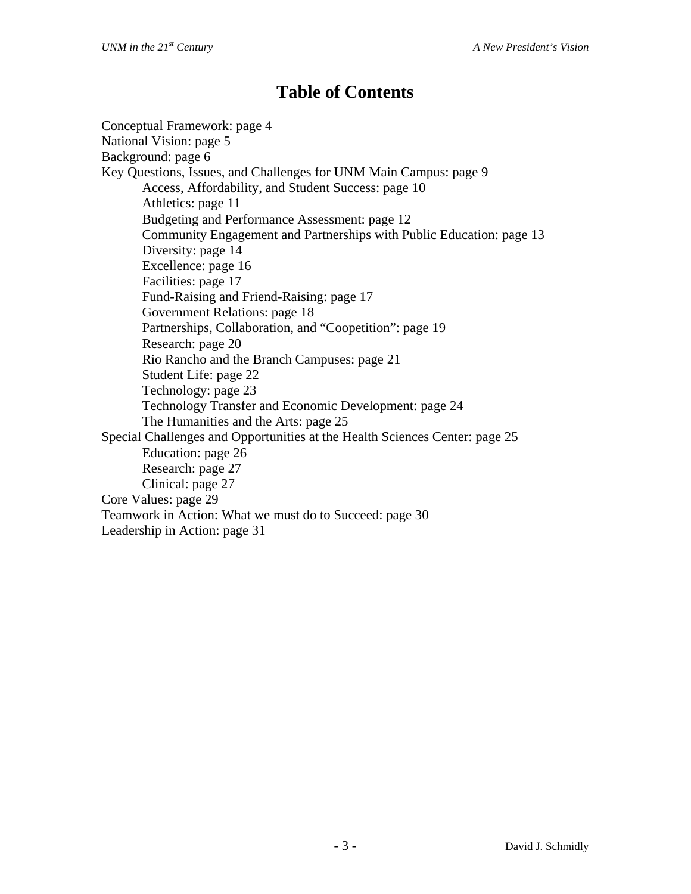## **Table of Contents**

Conceptual Framework: page 4 National Vision: page 5 Background: page 6 Key Questions, Issues, and Challenges for UNM Main Campus: page 9 Access, Affordability, and Student Success: page 10 Athletics: page 11 Budgeting and Performance Assessment: page 12 Community Engagement and Partnerships with Public Education: page 13 Diversity: page 14 Excellence: page 16 Facilities: page 17 Fund-Raising and Friend-Raising: page 17 Government Relations: page 18 Partnerships, Collaboration, and "Coopetition": page 19 Research: page 20 Rio Rancho and the Branch Campuses: page 21 Student Life: page 22 Technology: page 23 Technology Transfer and Economic Development: page 24 The Humanities and the Arts: page 25 Special Challenges and Opportunities at the Health Sciences Center: page 25 Education: page 26 Research: page 27 Clinical: page 27 Core Values: page 29 Teamwork in Action: What we must do to Succeed: page 30 Leadership in Action: page 31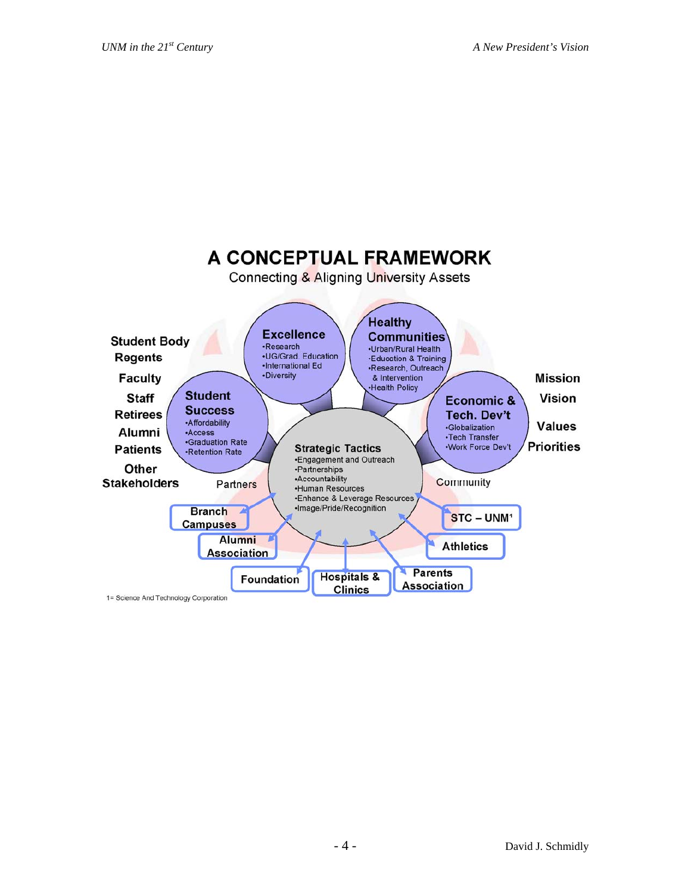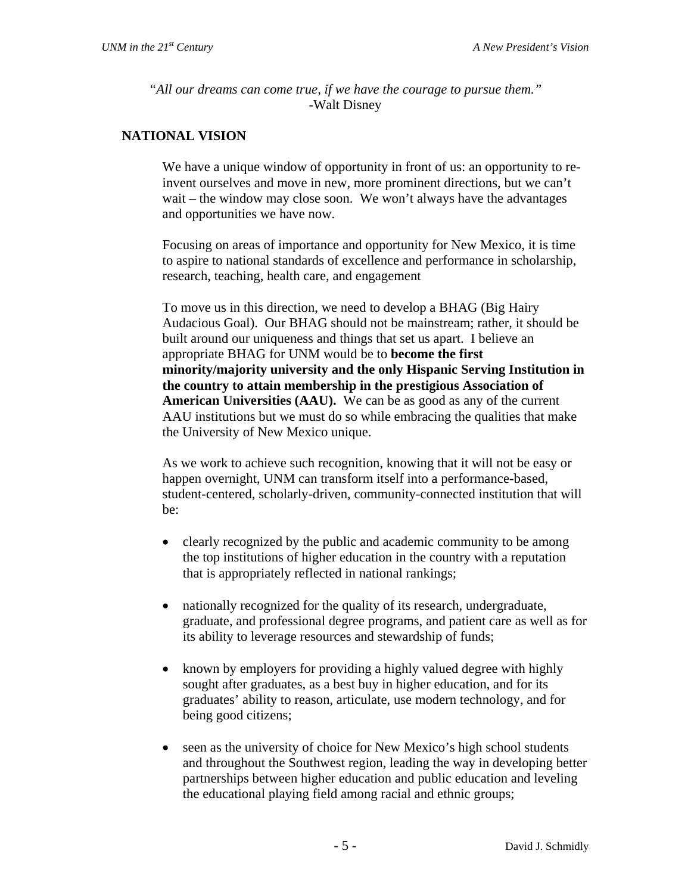*"All our dreams can come true, if we have the courage to pursue them."* -Walt Disney

## **NATIONAL VISION**

We have a unique window of opportunity in front of us: an opportunity to reinvent ourselves and move in new, more prominent directions, but we can't wait – the window may close soon. We won't always have the advantages and opportunities we have now.

Focusing on areas of importance and opportunity for New Mexico, it is time to aspire to national standards of excellence and performance in scholarship, research, teaching, health care, and engagement

To move us in this direction, we need to develop a BHAG (Big Hairy Audacious Goal). Our BHAG should not be mainstream; rather, it should be built around our uniqueness and things that set us apart. I believe an appropriate BHAG for UNM would be to **become the first minority/majority university and the only Hispanic Serving Institution in the country to attain membership in the prestigious Association of American Universities (AAU).** We can be as good as any of the current AAU institutions but we must do so while embracing the qualities that make the University of New Mexico unique.

As we work to achieve such recognition, knowing that it will not be easy or happen overnight, UNM can transform itself into a performance-based, student-centered, scholarly-driven, community-connected institution that will be:

- clearly recognized by the public and academic community to be among the top institutions of higher education in the country with a reputation that is appropriately reflected in national rankings;
- nationally recognized for the quality of its research, undergraduate, graduate, and professional degree programs, and patient care as well as for its ability to leverage resources and stewardship of funds;
- known by employers for providing a highly valued degree with highly sought after graduates, as a best buy in higher education, and for its graduates' ability to reason, articulate, use modern technology, and for being good citizens;
- seen as the university of choice for New Mexico's high school students and throughout the Southwest region, leading the way in developing better partnerships between higher education and public education and leveling the educational playing field among racial and ethnic groups;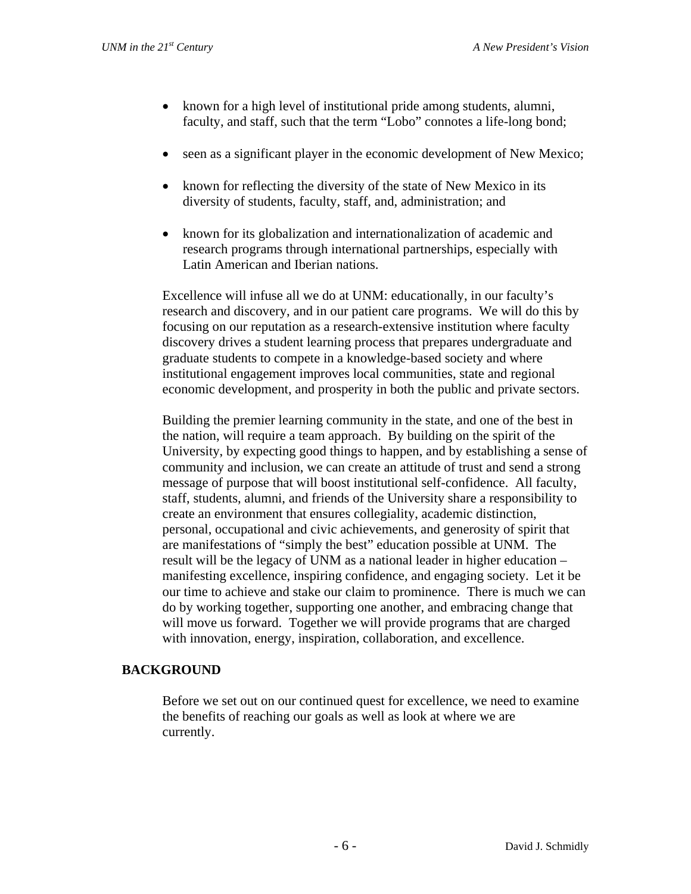- known for a high level of institutional pride among students, alumni, faculty, and staff, such that the term "Lobo" connotes a life-long bond;
- seen as a significant player in the economic development of New Mexico;
- known for reflecting the diversity of the state of New Mexico in its diversity of students, faculty, staff, and, administration; and
- known for its globalization and internationalization of academic and research programs through international partnerships, especially with Latin American and Iberian nations.

Excellence will infuse all we do at UNM: educationally, in our faculty's research and discovery, and in our patient care programs. We will do this by focusing on our reputation as a research-extensive institution where faculty discovery drives a student learning process that prepares undergraduate and graduate students to compete in a knowledge-based society and where institutional engagement improves local communities, state and regional economic development, and prosperity in both the public and private sectors.

Building the premier learning community in the state, and one of the best in the nation, will require a team approach. By building on the spirit of the University, by expecting good things to happen, and by establishing a sense of community and inclusion, we can create an attitude of trust and send a strong message of purpose that will boost institutional self-confidence. All faculty, staff, students, alumni, and friends of the University share a responsibility to create an environment that ensures collegiality, academic distinction, personal, occupational and civic achievements, and generosity of spirit that are manifestations of "simply the best" education possible at UNM. The result will be the legacy of UNM as a national leader in higher education – manifesting excellence, inspiring confidence, and engaging society. Let it be our time to achieve and stake our claim to prominence. There is much we can do by working together, supporting one another, and embracing change that will move us forward. Together we will provide programs that are charged with innovation, energy, inspiration, collaboration, and excellence.

## **BACKGROUND**

Before we set out on our continued quest for excellence, we need to examine the benefits of reaching our goals as well as look at where we are currently.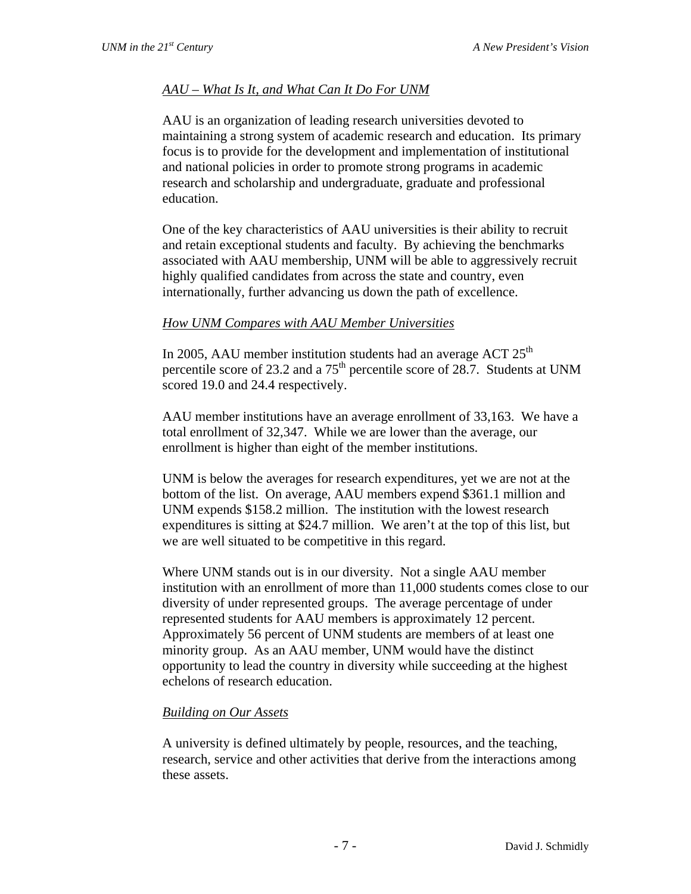## *AAU – What Is It, and What Can It Do For UNM*

AAU is an organization of leading research universities devoted to maintaining a strong system of academic research and education. Its primary focus is to provide for the development and implementation of institutional and national policies in order to promote strong programs in academic research and scholarship and undergraduate, graduate and professional education.

One of the key characteristics of AAU universities is their ability to recruit and retain exceptional students and faculty. By achieving the benchmarks associated with AAU membership, UNM will be able to aggressively recruit highly qualified candidates from across the state and country, even internationally, further advancing us down the path of excellence.

#### *How UNM Compares with AAU Member Universities*

In 2005, AAU member institution students had an average ACT  $25<sup>th</sup>$ percentile score of 23.2 and a 75<sup>th</sup> percentile score of 28.7. Students at UNM scored 19.0 and 24.4 respectively.

AAU member institutions have an average enrollment of 33,163. We have a total enrollment of 32,347. While we are lower than the average, our enrollment is higher than eight of the member institutions.

UNM is below the averages for research expenditures, yet we are not at the bottom of the list. On average, AAU members expend \$361.1 million and UNM expends \$158.2 million. The institution with the lowest research expenditures is sitting at \$24.7 million. We aren't at the top of this list, but we are well situated to be competitive in this regard.

Where UNM stands out is in our diversity. Not a single AAU member institution with an enrollment of more than 11,000 students comes close to our diversity of under represented groups. The average percentage of under represented students for AAU members is approximately 12 percent. Approximately 56 percent of UNM students are members of at least one minority group. As an AAU member, UNM would have the distinct opportunity to lead the country in diversity while succeeding at the highest echelons of research education.

#### *Building on Our Assets*

A university is defined ultimately by people, resources, and the teaching, research, service and other activities that derive from the interactions among these assets.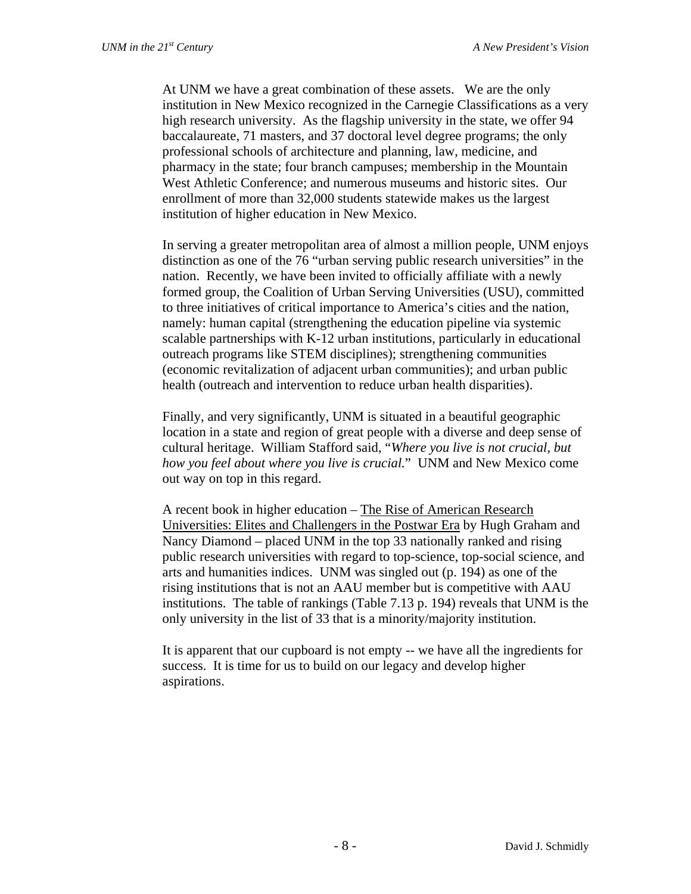At UNM we have a great combination of these assets. We are the only institution in New Mexico recognized in the Carnegie Classifications as a very high research university. As the flagship university in the state, we offer 94 baccalaureate, 71 masters, and 37 doctoral level degree programs; the only professional schools of architecture and planning, law, medicine, and pharmacy in the state; four branch campuses; membership in the Mountain West Athletic Conference; and numerous museums and historic sites. Our enrollment of more than 32,000 students statewide makes us the largest institution of higher education in New Mexico.

In serving a greater metropolitan area of almost a million people, UNM enjoys distinction as one of the 76 "urban serving public research universities" in the nation. Recently, we have been invited to officially affiliate with a newly formed group, the Coalition of Urban Serving Universities (USU), committed to three initiatives of critical importance to America's cities and the nation, namely: human capital (strengthening the education pipeline via systemic scalable partnerships with K-12 urban institutions, particularly in educational outreach programs like STEM disciplines); strengthening communities (economic revitalization of adjacent urban communities); and urban public health (outreach and intervention to reduce urban health disparities).

Finally, and very significantly, UNM is situated in a beautiful geographic location in a state and region of great people with a diverse and deep sense of cultural heritage. William Stafford said, "*Where you live is not crucial, but how you feel about where you live is crucial.*" UNM and New Mexico come out way on top in this regard.

A recent book in higher education – The Rise of American Research Universities: Elites and Challengers in the Postwar Era by Hugh Graham and Nancy Diamond – placed UNM in the top 33 nationally ranked and rising public research universities with regard to top-science, top-social science, and arts and humanities indices. UNM was singled out (p. 194) as one of the rising institutions that is not an AAU member but is competitive with AAU institutions. The table of rankings (Table 7.13 p. 194) reveals that UNM is the only university in the list of 33 that is a minority/majority institution.

It is apparent that our cupboard is not empty -- we have all the ingredients for success. It is time for us to build on our legacy and develop higher aspirations.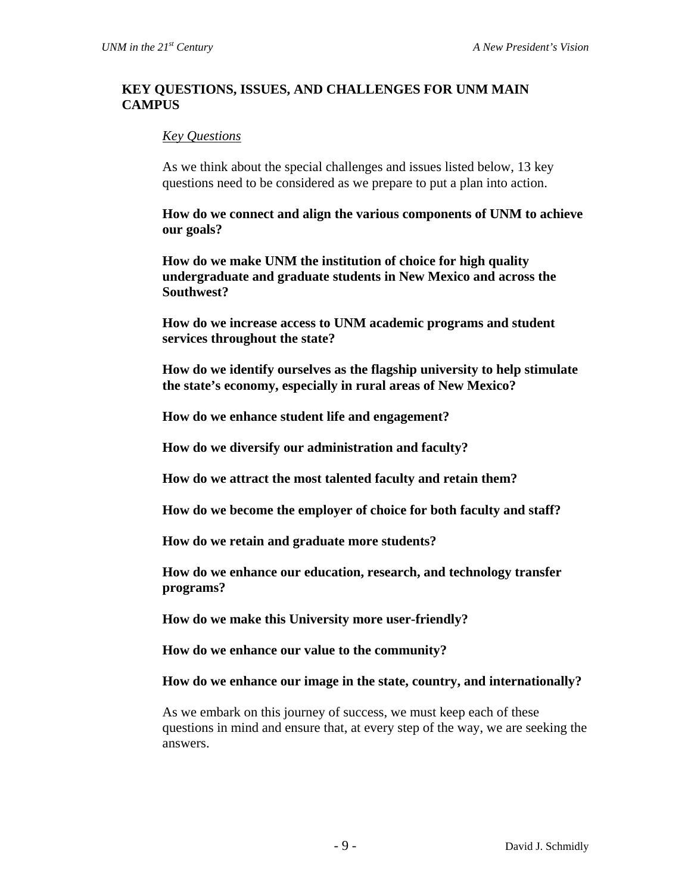#### **KEY QUESTIONS, ISSUES, AND CHALLENGES FOR UNM MAIN CAMPUS**

#### *Key Questions*

As we think about the special challenges and issues listed below, 13 key questions need to be considered as we prepare to put a plan into action.

**How do we connect and align the various components of UNM to achieve our goals?** 

**How do we make UNM the institution of choice for high quality undergraduate and graduate students in New Mexico and across the Southwest?** 

**How do we increase access to UNM academic programs and student services throughout the state?** 

**How do we identify ourselves as the flagship university to help stimulate the state's economy, especially in rural areas of New Mexico?** 

**How do we enhance student life and engagement?** 

**How do we diversify our administration and faculty?** 

**How do we attract the most talented faculty and retain them?** 

**How do we become the employer of choice for both faculty and staff?** 

**How do we retain and graduate more students?** 

**How do we enhance our education, research, and technology transfer programs?** 

**How do we make this University more user-friendly?** 

**How do we enhance our value to the community?** 

**How do we enhance our image in the state, country, and internationally?** 

As we embark on this journey of success, we must keep each of these questions in mind and ensure that, at every step of the way, we are seeking the answers.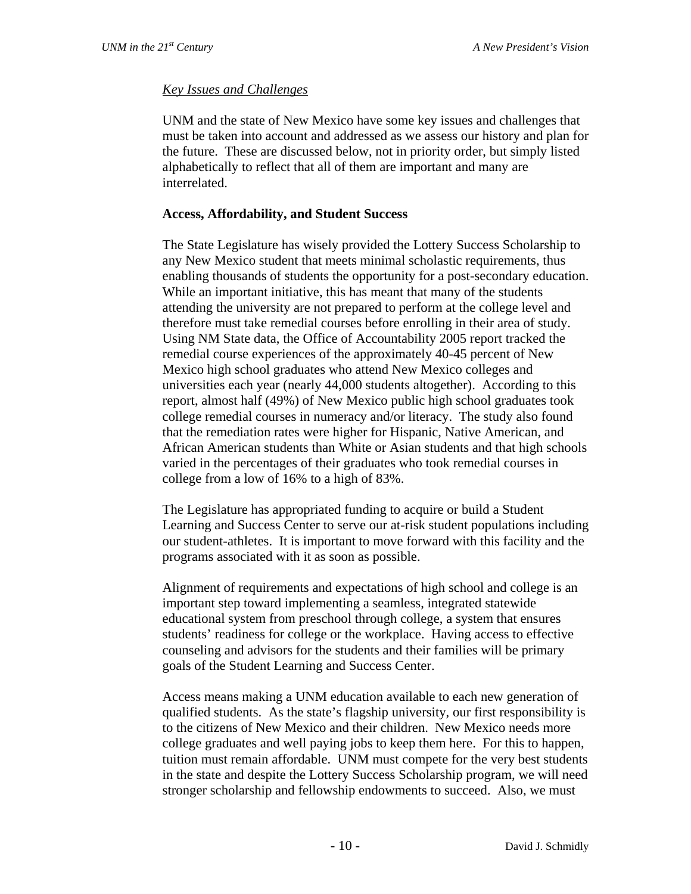## *Key Issues and Challenges*

UNM and the state of New Mexico have some key issues and challenges that must be taken into account and addressed as we assess our history and plan for the future. These are discussed below, not in priority order, but simply listed alphabetically to reflect that all of them are important and many are interrelated.

## **Access, Affordability, and Student Success**

The State Legislature has wisely provided the Lottery Success Scholarship to any New Mexico student that meets minimal scholastic requirements, thus enabling thousands of students the opportunity for a post-secondary education. While an important initiative, this has meant that many of the students attending the university are not prepared to perform at the college level and therefore must take remedial courses before enrolling in their area of study. Using NM State data, the Office of Accountability 2005 report tracked the remedial course experiences of the approximately 40-45 percent of New Mexico high school graduates who attend New Mexico colleges and universities each year (nearly 44,000 students altogether). According to this report, almost half (49%) of New Mexico public high school graduates took college remedial courses in numeracy and/or literacy. The study also found that the remediation rates were higher for Hispanic, Native American, and African American students than White or Asian students and that high schools varied in the percentages of their graduates who took remedial courses in college from a low of 16% to a high of 83%.

The Legislature has appropriated funding to acquire or build a Student Learning and Success Center to serve our at-risk student populations including our student-athletes. It is important to move forward with this facility and the programs associated with it as soon as possible.

Alignment of requirements and expectations of high school and college is an important step toward implementing a seamless, integrated statewide educational system from preschool through college, a system that ensures students' readiness for college or the workplace. Having access to effective counseling and advisors for the students and their families will be primary goals of the Student Learning and Success Center.

Access means making a UNM education available to each new generation of qualified students. As the state's flagship university, our first responsibility is to the citizens of New Mexico and their children. New Mexico needs more college graduates and well paying jobs to keep them here. For this to happen, tuition must remain affordable. UNM must compete for the very best students in the state and despite the Lottery Success Scholarship program, we will need stronger scholarship and fellowship endowments to succeed. Also, we must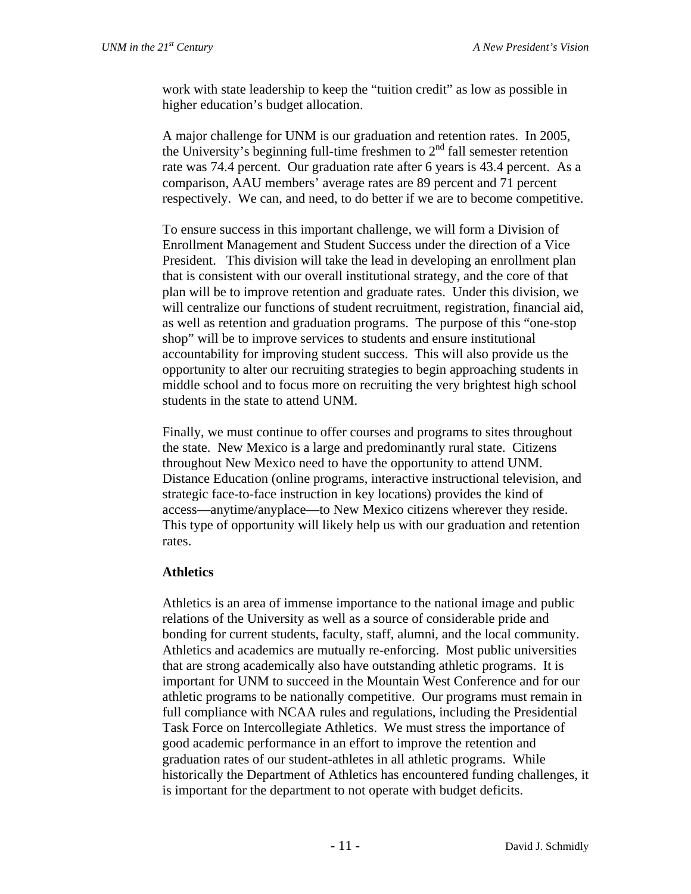work with state leadership to keep the "tuition credit" as low as possible in higher education's budget allocation.

A major challenge for UNM is our graduation and retention rates. In 2005, the University's beginning full-time freshmen to  $2<sup>nd</sup>$  fall semester retention rate was 74.4 percent. Our graduation rate after 6 years is 43.4 percent. As a comparison, AAU members' average rates are 89 percent and 71 percent respectively. We can, and need, to do better if we are to become competitive.

To ensure success in this important challenge, we will form a Division of Enrollment Management and Student Success under the direction of a Vice President. This division will take the lead in developing an enrollment plan that is consistent with our overall institutional strategy, and the core of that plan will be to improve retention and graduate rates. Under this division, we will centralize our functions of student recruitment, registration, financial aid, as well as retention and graduation programs. The purpose of this "one-stop shop" will be to improve services to students and ensure institutional accountability for improving student success. This will also provide us the opportunity to alter our recruiting strategies to begin approaching students in middle school and to focus more on recruiting the very brightest high school students in the state to attend UNM.

Finally, we must continue to offer courses and programs to sites throughout the state. New Mexico is a large and predominantly rural state. Citizens throughout New Mexico need to have the opportunity to attend UNM. Distance Education (online programs, interactive instructional television, and strategic face-to-face instruction in key locations) provides the kind of access—anytime/anyplace—to New Mexico citizens wherever they reside. This type of opportunity will likely help us with our graduation and retention rates.

## **Athletics**

Athletics is an area of immense importance to the national image and public relations of the University as well as a source of considerable pride and bonding for current students, faculty, staff, alumni, and the local community. Athletics and academics are mutually re-enforcing. Most public universities that are strong academically also have outstanding athletic programs. It is important for UNM to succeed in the Mountain West Conference and for our athletic programs to be nationally competitive. Our programs must remain in full compliance with NCAA rules and regulations, including the Presidential Task Force on Intercollegiate Athletics. We must stress the importance of good academic performance in an effort to improve the retention and graduation rates of our student-athletes in all athletic programs. While historically the Department of Athletics has encountered funding challenges, it is important for the department to not operate with budget deficits.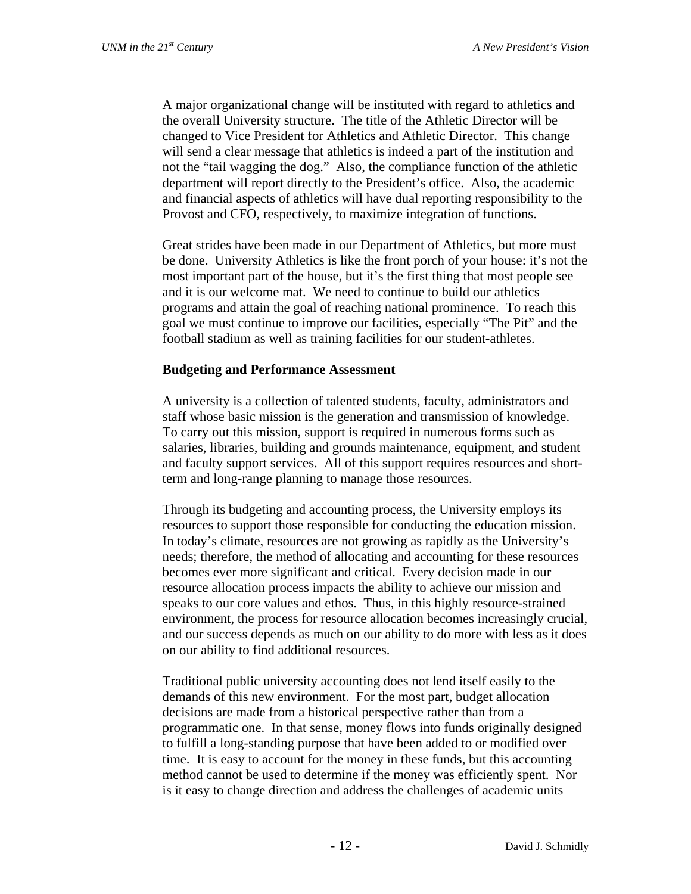A major organizational change will be instituted with regard to athletics and the overall University structure. The title of the Athletic Director will be changed to Vice President for Athletics and Athletic Director. This change will send a clear message that athletics is indeed a part of the institution and not the "tail wagging the dog." Also, the compliance function of the athletic department will report directly to the President's office. Also, the academic and financial aspects of athletics will have dual reporting responsibility to the Provost and CFO, respectively, to maximize integration of functions.

Great strides have been made in our Department of Athletics, but more must be done. University Athletics is like the front porch of your house: it's not the most important part of the house, but it's the first thing that most people see and it is our welcome mat. We need to continue to build our athletics programs and attain the goal of reaching national prominence. To reach this goal we must continue to improve our facilities, especially "The Pit" and the football stadium as well as training facilities for our student-athletes.

## **Budgeting and Performance Assessment**

A university is a collection of talented students, faculty, administrators and staff whose basic mission is the generation and transmission of knowledge. To carry out this mission, support is required in numerous forms such as salaries, libraries, building and grounds maintenance, equipment, and student and faculty support services. All of this support requires resources and shortterm and long-range planning to manage those resources.

Through its budgeting and accounting process, the University employs its resources to support those responsible for conducting the education mission. In today's climate, resources are not growing as rapidly as the University's needs; therefore, the method of allocating and accounting for these resources becomes ever more significant and critical. Every decision made in our resource allocation process impacts the ability to achieve our mission and speaks to our core values and ethos. Thus, in this highly resource-strained environment, the process for resource allocation becomes increasingly crucial, and our success depends as much on our ability to do more with less as it does on our ability to find additional resources.

Traditional public university accounting does not lend itself easily to the demands of this new environment. For the most part, budget allocation decisions are made from a historical perspective rather than from a programmatic one. In that sense, money flows into funds originally designed to fulfill a long-standing purpose that have been added to or modified over time. It is easy to account for the money in these funds, but this accounting method cannot be used to determine if the money was efficiently spent. Nor is it easy to change direction and address the challenges of academic units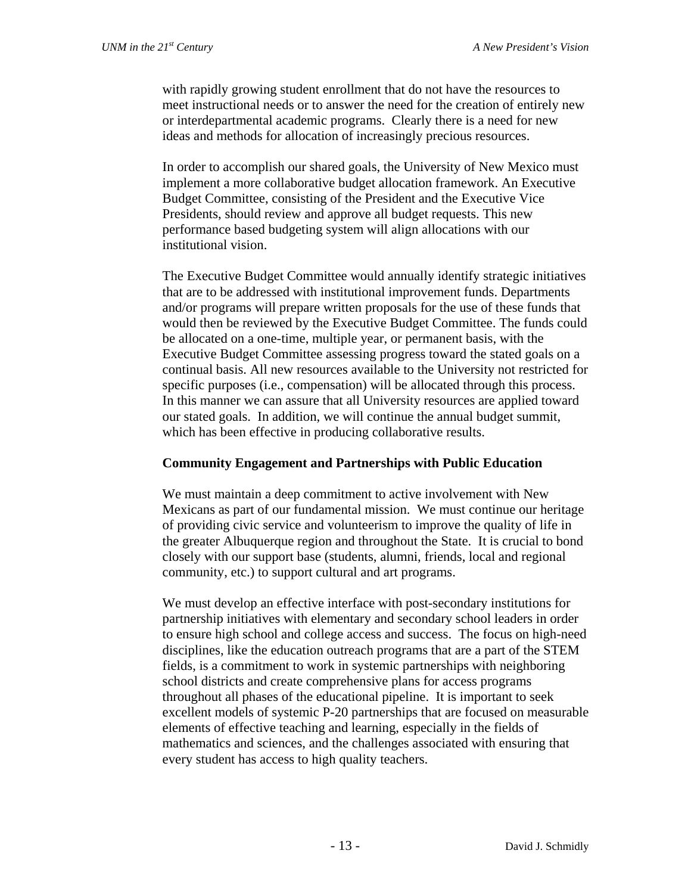with rapidly growing student enrollment that do not have the resources to meet instructional needs or to answer the need for the creation of entirely new or interdepartmental academic programs. Clearly there is a need for new ideas and methods for allocation of increasingly precious resources.

In order to accomplish our shared goals, the University of New Mexico must implement a more collaborative budget allocation framework. An Executive Budget Committee, consisting of the President and the Executive Vice Presidents, should review and approve all budget requests. This new performance based budgeting system will align allocations with our institutional vision.

The Executive Budget Committee would annually identify strategic initiatives that are to be addressed with institutional improvement funds. Departments and/or programs will prepare written proposals for the use of these funds that would then be reviewed by the Executive Budget Committee. The funds could be allocated on a one-time, multiple year, or permanent basis, with the Executive Budget Committee assessing progress toward the stated goals on a continual basis. All new resources available to the University not restricted for specific purposes (i.e., compensation) will be allocated through this process. In this manner we can assure that all University resources are applied toward our stated goals. In addition, we will continue the annual budget summit, which has been effective in producing collaborative results.

#### **Community Engagement and Partnerships with Public Education**

We must maintain a deep commitment to active involvement with New Mexicans as part of our fundamental mission. We must continue our heritage of providing civic service and volunteerism to improve the quality of life in the greater Albuquerque region and throughout the State. It is crucial to bond closely with our support base (students, alumni, friends, local and regional community, etc.) to support cultural and art programs.

We must develop an effective interface with post-secondary institutions for partnership initiatives with elementary and secondary school leaders in order to ensure high school and college access and success. The focus on high-need disciplines, like the education outreach programs that are a part of the STEM fields, is a commitment to work in systemic partnerships with neighboring school districts and create comprehensive plans for access programs throughout all phases of the educational pipeline. It is important to seek excellent models of systemic P-20 partnerships that are focused on measurable elements of effective teaching and learning, especially in the fields of mathematics and sciences, and the challenges associated with ensuring that every student has access to high quality teachers.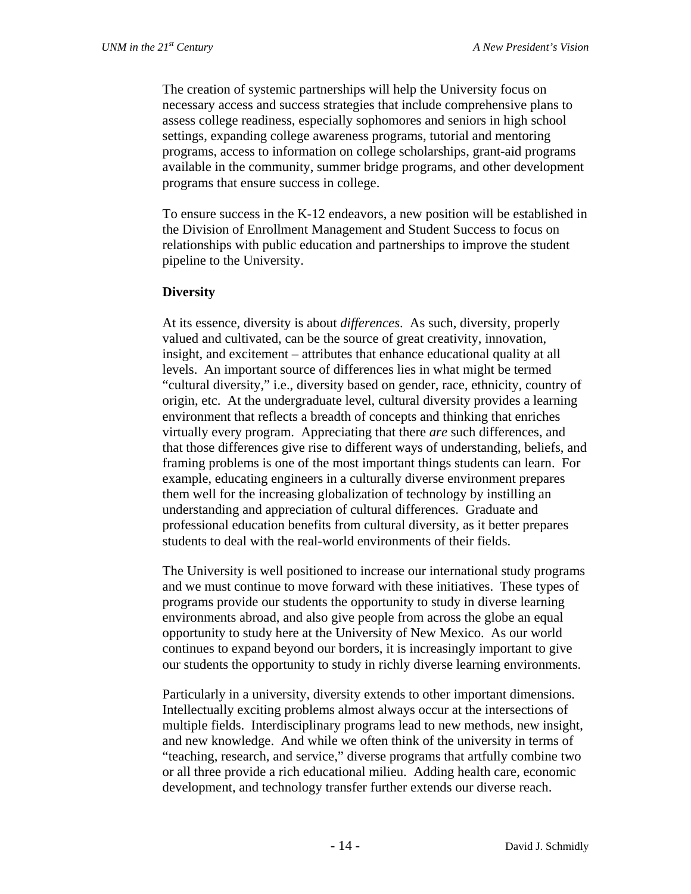The creation of systemic partnerships will help the University focus on necessary access and success strategies that include comprehensive plans to assess college readiness, especially sophomores and seniors in high school settings, expanding college awareness programs, tutorial and mentoring programs, access to information on college scholarships, grant-aid programs available in the community, summer bridge programs, and other development programs that ensure success in college.

To ensure success in the K-12 endeavors, a new position will be established in the Division of Enrollment Management and Student Success to focus on relationships with public education and partnerships to improve the student pipeline to the University.

#### **Diversity**

At its essence, diversity is about *differences*. As such, diversity, properly valued and cultivated, can be the source of great creativity, innovation, insight, and excitement – attributes that enhance educational quality at all levels. An important source of differences lies in what might be termed "cultural diversity," i.e., diversity based on gender, race, ethnicity, country of origin, etc. At the undergraduate level, cultural diversity provides a learning environment that reflects a breadth of concepts and thinking that enriches virtually every program. Appreciating that there *are* such differences, and that those differences give rise to different ways of understanding, beliefs, and framing problems is one of the most important things students can learn. For example, educating engineers in a culturally diverse environment prepares them well for the increasing globalization of technology by instilling an understanding and appreciation of cultural differences. Graduate and professional education benefits from cultural diversity, as it better prepares students to deal with the real-world environments of their fields.

The University is well positioned to increase our international study programs and we must continue to move forward with these initiatives. These types of programs provide our students the opportunity to study in diverse learning environments abroad, and also give people from across the globe an equal opportunity to study here at the University of New Mexico. As our world continues to expand beyond our borders, it is increasingly important to give our students the opportunity to study in richly diverse learning environments.

Particularly in a university, diversity extends to other important dimensions. Intellectually exciting problems almost always occur at the intersections of multiple fields. Interdisciplinary programs lead to new methods, new insight, and new knowledge. And while we often think of the university in terms of "teaching, research, and service," diverse programs that artfully combine two or all three provide a rich educational milieu. Adding health care, economic development, and technology transfer further extends our diverse reach.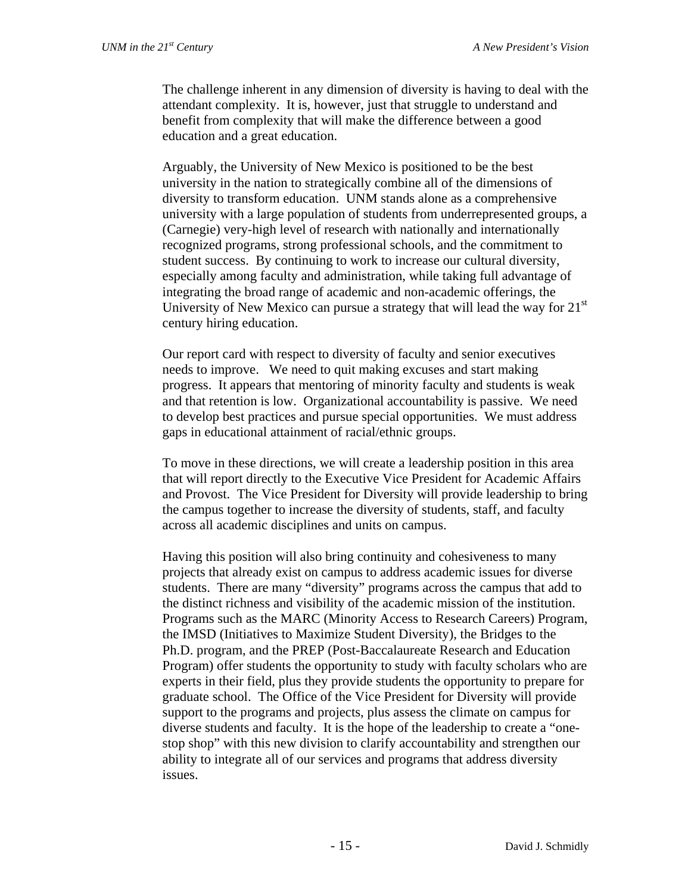The challenge inherent in any dimension of diversity is having to deal with the attendant complexity. It is, however, just that struggle to understand and benefit from complexity that will make the difference between a good education and a great education.

Arguably, the University of New Mexico is positioned to be the best university in the nation to strategically combine all of the dimensions of diversity to transform education. UNM stands alone as a comprehensive university with a large population of students from underrepresented groups, a (Carnegie) very-high level of research with nationally and internationally recognized programs, strong professional schools, and the commitment to student success. By continuing to work to increase our cultural diversity, especially among faculty and administration, while taking full advantage of integrating the broad range of academic and non-academic offerings, the University of New Mexico can pursue a strategy that will lead the way for  $21<sup>st</sup>$ century hiring education.

Our report card with respect to diversity of faculty and senior executives needs to improve. We need to quit making excuses and start making progress. It appears that mentoring of minority faculty and students is weak and that retention is low. Organizational accountability is passive. We need to develop best practices and pursue special opportunities. We must address gaps in educational attainment of racial/ethnic groups.

To move in these directions, we will create a leadership position in this area that will report directly to the Executive Vice President for Academic Affairs and Provost. The Vice President for Diversity will provide leadership to bring the campus together to increase the diversity of students, staff, and faculty across all academic disciplines and units on campus.

Having this position will also bring continuity and cohesiveness to many projects that already exist on campus to address academic issues for diverse students. There are many "diversity" programs across the campus that add to the distinct richness and visibility of the academic mission of the institution. Programs such as the MARC (Minority Access to Research Careers) Program, the IMSD (Initiatives to Maximize Student Diversity), the Bridges to the Ph.D. program, and the PREP (Post-Baccalaureate Research and Education Program) offer students the opportunity to study with faculty scholars who are experts in their field, plus they provide students the opportunity to prepare for graduate school. The Office of the Vice President for Diversity will provide support to the programs and projects, plus assess the climate on campus for diverse students and faculty. It is the hope of the leadership to create a "onestop shop" with this new division to clarify accountability and strengthen our ability to integrate all of our services and programs that address diversity issues.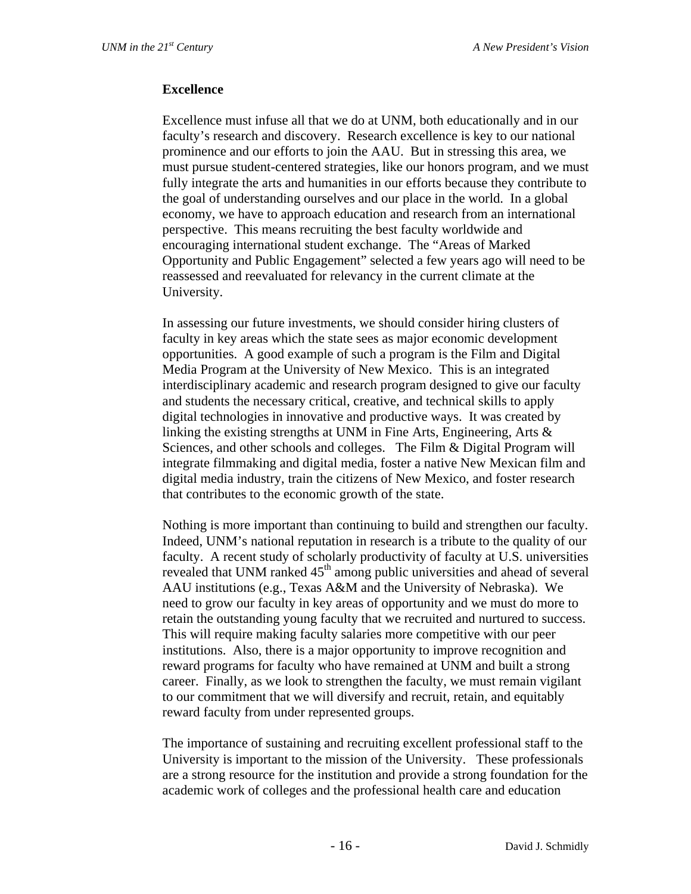#### **Excellence**

Excellence must infuse all that we do at UNM, both educationally and in our faculty's research and discovery. Research excellence is key to our national prominence and our efforts to join the AAU. But in stressing this area, we must pursue student-centered strategies, like our honors program, and we must fully integrate the arts and humanities in our efforts because they contribute to the goal of understanding ourselves and our place in the world. In a global economy, we have to approach education and research from an international perspective. This means recruiting the best faculty worldwide and encouraging international student exchange. The "Areas of Marked Opportunity and Public Engagement" selected a few years ago will need to be reassessed and reevaluated for relevancy in the current climate at the University.

In assessing our future investments, we should consider hiring clusters of faculty in key areas which the state sees as major economic development opportunities. A good example of such a program is the Film and Digital Media Program at the University of New Mexico. This is an integrated interdisciplinary academic and research program designed to give our faculty and students the necessary critical, creative, and technical skills to apply digital technologies in innovative and productive ways. It was created by linking the existing strengths at UNM in Fine Arts, Engineering, Arts & Sciences, and other schools and colleges. The Film & Digital Program will integrate filmmaking and digital media, foster a native New Mexican film and digital media industry, train the citizens of New Mexico, and foster research that contributes to the economic growth of the state.

Nothing is more important than continuing to build and strengthen our faculty. Indeed, UNM's national reputation in research is a tribute to the quality of our faculty. A recent study of scholarly productivity of faculty at U.S. universities revealed that UNM ranked 45<sup>th</sup> among public universities and ahead of several AAU institutions (e.g., Texas A&M and the University of Nebraska). We need to grow our faculty in key areas of opportunity and we must do more to retain the outstanding young faculty that we recruited and nurtured to success. This will require making faculty salaries more competitive with our peer institutions. Also, there is a major opportunity to improve recognition and reward programs for faculty who have remained at UNM and built a strong career. Finally, as we look to strengthen the faculty, we must remain vigilant to our commitment that we will diversify and recruit, retain, and equitably reward faculty from under represented groups.

The importance of sustaining and recruiting excellent professional staff to the University is important to the mission of the University. These professionals are a strong resource for the institution and provide a strong foundation for the academic work of colleges and the professional health care and education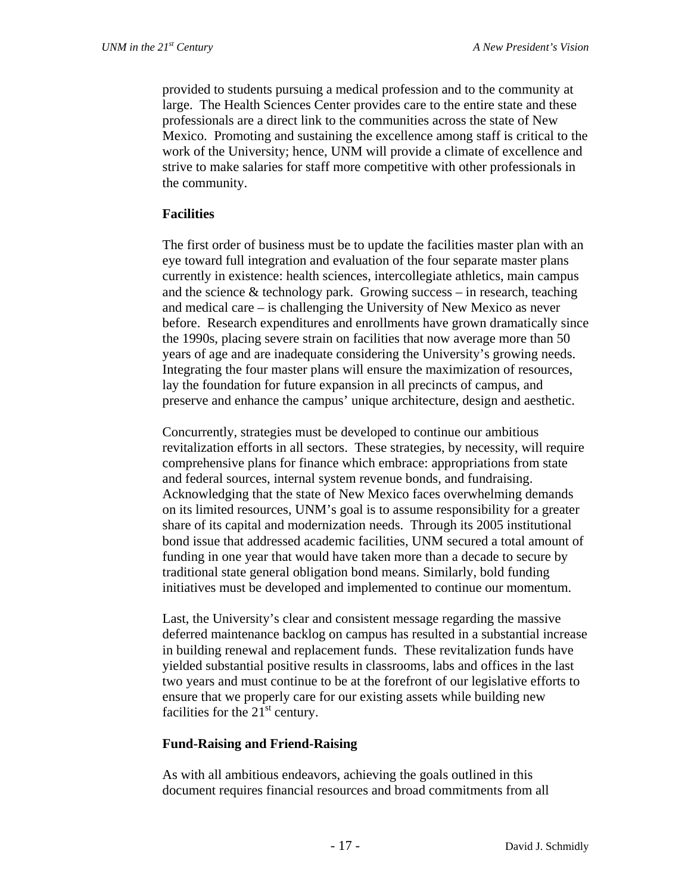provided to students pursuing a medical profession and to the community at large. The Health Sciences Center provides care to the entire state and these professionals are a direct link to the communities across the state of New Mexico. Promoting and sustaining the excellence among staff is critical to the work of the University; hence, UNM will provide a climate of excellence and strive to make salaries for staff more competitive with other professionals in the community.

#### **Facilities**

The first order of business must be to update the facilities master plan with an eye toward full integration and evaluation of the four separate master plans currently in existence: health sciences, intercollegiate athletics, main campus and the science  $&$  technology park. Growing success – in research, teaching and medical care – is challenging the University of New Mexico as never before. Research expenditures and enrollments have grown dramatically since the 1990s, placing severe strain on facilities that now average more than 50 years of age and are inadequate considering the University's growing needs. Integrating the four master plans will ensure the maximization of resources, lay the foundation for future expansion in all precincts of campus, and preserve and enhance the campus' unique architecture, design and aesthetic.

Concurrently, strategies must be developed to continue our ambitious revitalization efforts in all sectors. These strategies, by necessity, will require comprehensive plans for finance which embrace: appropriations from state and federal sources, internal system revenue bonds, and fundraising. Acknowledging that the state of New Mexico faces overwhelming demands on its limited resources, UNM's goal is to assume responsibility for a greater share of its capital and modernization needs. Through its 2005 institutional bond issue that addressed academic facilities, UNM secured a total amount of funding in one year that would have taken more than a decade to secure by traditional state general obligation bond means. Similarly, bold funding initiatives must be developed and implemented to continue our momentum.

Last, the University's clear and consistent message regarding the massive deferred maintenance backlog on campus has resulted in a substantial increase in building renewal and replacement funds. These revitalization funds have yielded substantial positive results in classrooms, labs and offices in the last two years and must continue to be at the forefront of our legislative efforts to ensure that we properly care for our existing assets while building new facilities for the  $21<sup>st</sup>$  century.

#### **Fund-Raising and Friend-Raising**

As with all ambitious endeavors, achieving the goals outlined in this document requires financial resources and broad commitments from all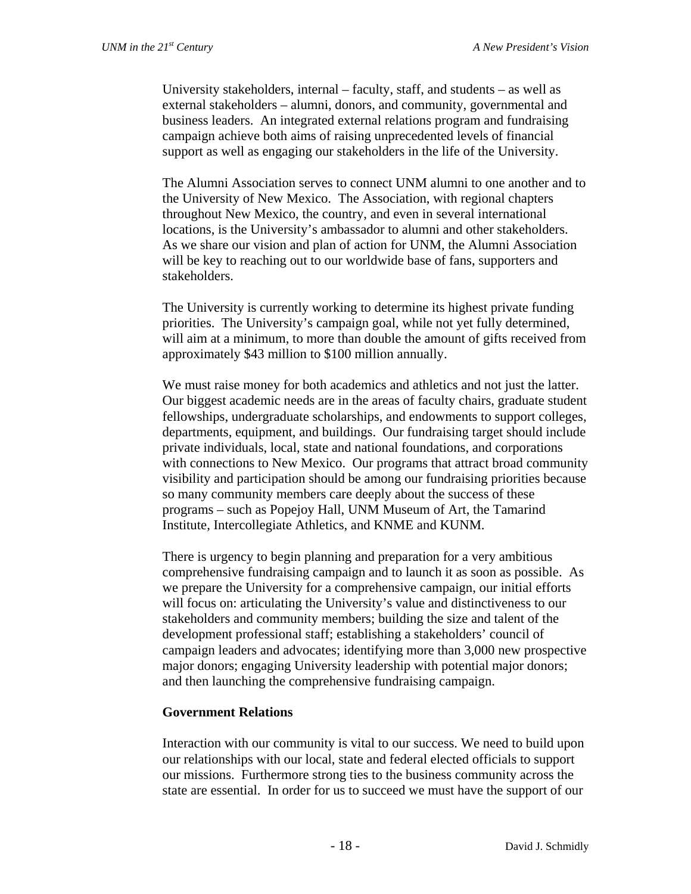University stakeholders, internal – faculty, staff, and students – as well as external stakeholders – alumni, donors, and community, governmental and business leaders. An integrated external relations program and fundraising campaign achieve both aims of raising unprecedented levels of financial support as well as engaging our stakeholders in the life of the University.

The Alumni Association serves to connect UNM alumni to one another and to the University of New Mexico. The Association, with regional chapters throughout New Mexico, the country, and even in several international locations, is the University's ambassador to alumni and other stakeholders. As we share our vision and plan of action for UNM, the Alumni Association will be key to reaching out to our worldwide base of fans, supporters and stakeholders.

The University is currently working to determine its highest private funding priorities. The University's campaign goal, while not yet fully determined, will aim at a minimum, to more than double the amount of gifts received from approximately \$43 million to \$100 million annually.

We must raise money for both academics and athletics and not just the latter. Our biggest academic needs are in the areas of faculty chairs, graduate student fellowships, undergraduate scholarships, and endowments to support colleges, departments, equipment, and buildings. Our fundraising target should include private individuals, local, state and national foundations, and corporations with connections to New Mexico. Our programs that attract broad community visibility and participation should be among our fundraising priorities because so many community members care deeply about the success of these programs – such as Popejoy Hall, UNM Museum of Art, the Tamarind Institute, Intercollegiate Athletics, and KNME and KUNM.

There is urgency to begin planning and preparation for a very ambitious comprehensive fundraising campaign and to launch it as soon as possible. As we prepare the University for a comprehensive campaign, our initial efforts will focus on: articulating the University's value and distinctiveness to our stakeholders and community members; building the size and talent of the development professional staff; establishing a stakeholders' council of campaign leaders and advocates; identifying more than 3,000 new prospective major donors; engaging University leadership with potential major donors; and then launching the comprehensive fundraising campaign.

#### **Government Relations**

Interaction with our community is vital to our success. We need to build upon our relationships with our local, state and federal elected officials to support our missions. Furthermore strong ties to the business community across the state are essential. In order for us to succeed we must have the support of our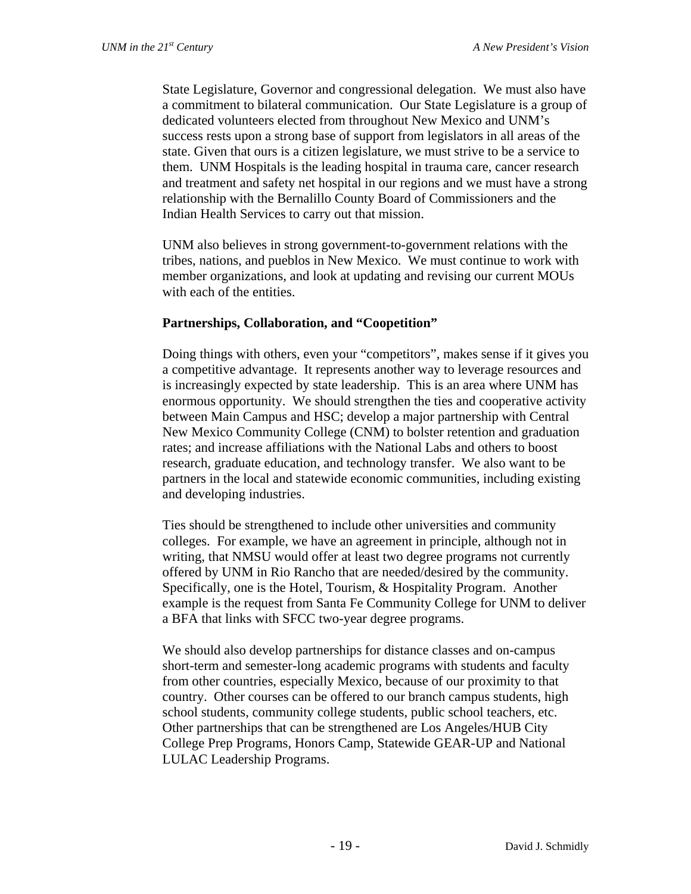State Legislature, Governor and congressional delegation. We must also have a commitment to bilateral communication. Our State Legislature is a group of dedicated volunteers elected from throughout New Mexico and UNM's success rests upon a strong base of support from legislators in all areas of the state. Given that ours is a citizen legislature, we must strive to be a service to them. UNM Hospitals is the leading hospital in trauma care, cancer research and treatment and safety net hospital in our regions and we must have a strong relationship with the Bernalillo County Board of Commissioners and the Indian Health Services to carry out that mission.

UNM also believes in strong government-to-government relations with the tribes, nations, and pueblos in New Mexico. We must continue to work with member organizations, and look at updating and revising our current MOUs with each of the entities.

## **Partnerships, Collaboration, and "Coopetition"**

Doing things with others, even your "competitors", makes sense if it gives you a competitive advantage. It represents another way to leverage resources and is increasingly expected by state leadership. This is an area where UNM has enormous opportunity. We should strengthen the ties and cooperative activity between Main Campus and HSC; develop a major partnership with Central New Mexico Community College (CNM) to bolster retention and graduation rates; and increase affiliations with the National Labs and others to boost research, graduate education, and technology transfer. We also want to be partners in the local and statewide economic communities, including existing and developing industries.

Ties should be strengthened to include other universities and community colleges. For example, we have an agreement in principle, although not in writing, that NMSU would offer at least two degree programs not currently offered by UNM in Rio Rancho that are needed/desired by the community. Specifically, one is the Hotel, Tourism, & Hospitality Program. Another example is the request from Santa Fe Community College for UNM to deliver a BFA that links with SFCC two-year degree programs.

We should also develop partnerships for distance classes and on-campus short-term and semester-long academic programs with students and faculty from other countries, especially Mexico, because of our proximity to that country. Other courses can be offered to our branch campus students, high school students, community college students, public school teachers, etc. Other partnerships that can be strengthened are Los Angeles/HUB City College Prep Programs, Honors Camp, Statewide GEAR-UP and National LULAC Leadership Programs.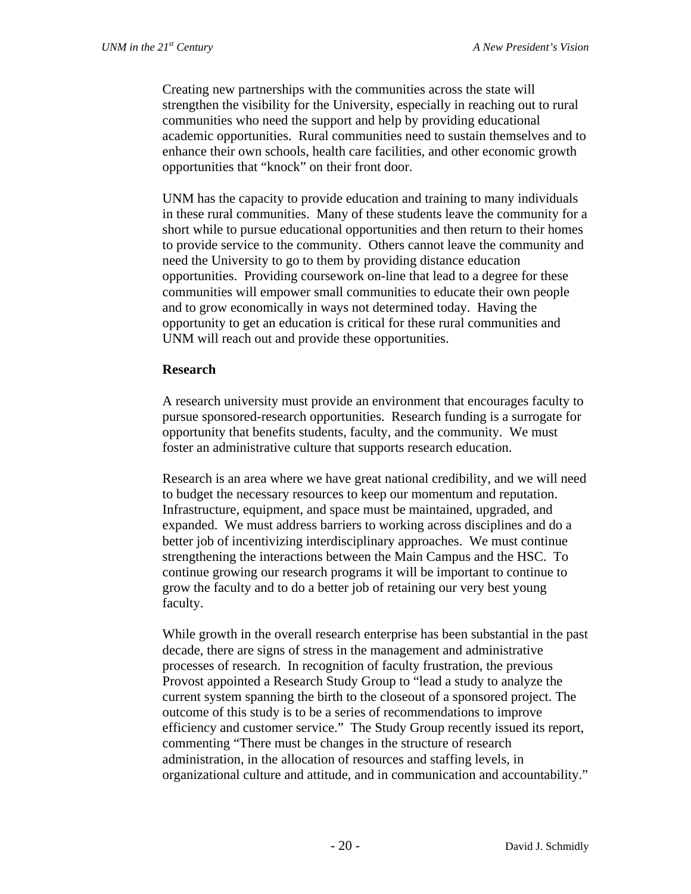Creating new partnerships with the communities across the state will strengthen the visibility for the University, especially in reaching out to rural communities who need the support and help by providing educational academic opportunities. Rural communities need to sustain themselves and to enhance their own schools, health care facilities, and other economic growth opportunities that "knock" on their front door.

UNM has the capacity to provide education and training to many individuals in these rural communities. Many of these students leave the community for a short while to pursue educational opportunities and then return to their homes to provide service to the community. Others cannot leave the community and need the University to go to them by providing distance education opportunities. Providing coursework on-line that lead to a degree for these communities will empower small communities to educate their own people and to grow economically in ways not determined today. Having the opportunity to get an education is critical for these rural communities and UNM will reach out and provide these opportunities.

#### **Research**

A research university must provide an environment that encourages faculty to pursue sponsored-research opportunities. Research funding is a surrogate for opportunity that benefits students, faculty, and the community. We must foster an administrative culture that supports research education.

Research is an area where we have great national credibility, and we will need to budget the necessary resources to keep our momentum and reputation. Infrastructure, equipment, and space must be maintained, upgraded, and expanded. We must address barriers to working across disciplines and do a better job of incentivizing interdisciplinary approaches. We must continue strengthening the interactions between the Main Campus and the HSC. To continue growing our research programs it will be important to continue to grow the faculty and to do a better job of retaining our very best young faculty.

While growth in the overall research enterprise has been substantial in the past decade, there are signs of stress in the management and administrative processes of research. In recognition of faculty frustration, the previous Provost appointed a Research Study Group to "lead a study to analyze the current system spanning the birth to the closeout of a sponsored project. The outcome of this study is to be a series of recommendations to improve efficiency and customer service." The Study Group recently issued its report, commenting "There must be changes in the structure of research administration, in the allocation of resources and staffing levels, in organizational culture and attitude, and in communication and accountability."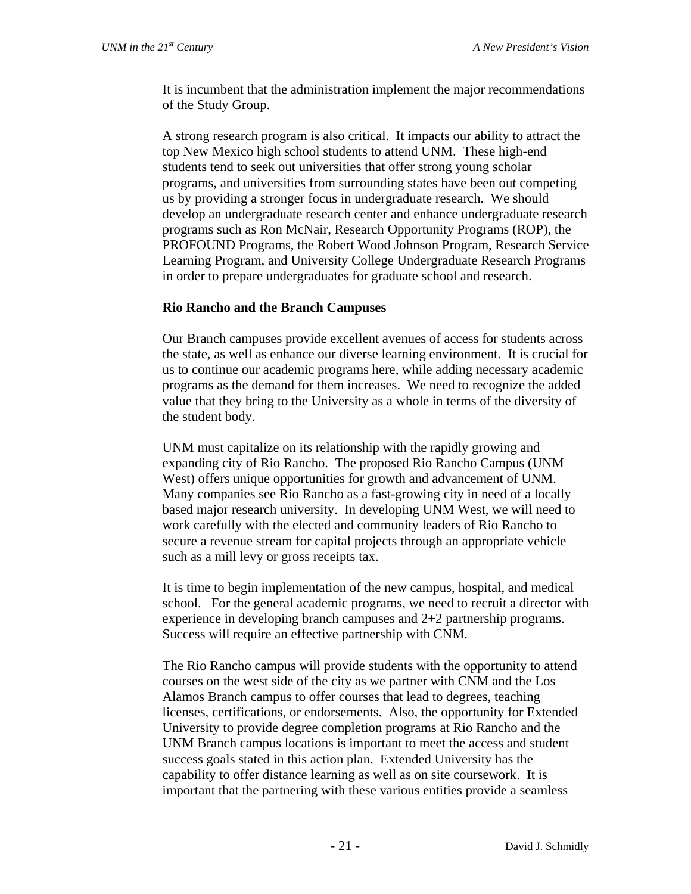It is incumbent that the administration implement the major recommendations of the Study Group.

A strong research program is also critical. It impacts our ability to attract the top New Mexico high school students to attend UNM. These high-end students tend to seek out universities that offer strong young scholar programs, and universities from surrounding states have been out competing us by providing a stronger focus in undergraduate research. We should develop an undergraduate research center and enhance undergraduate research programs such as Ron McNair, Research Opportunity Programs (ROP), the PROFOUND Programs, the Robert Wood Johnson Program, Research Service Learning Program, and University College Undergraduate Research Programs in order to prepare undergraduates for graduate school and research.

## **Rio Rancho and the Branch Campuses**

Our Branch campuses provide excellent avenues of access for students across the state, as well as enhance our diverse learning environment. It is crucial for us to continue our academic programs here, while adding necessary academic programs as the demand for them increases. We need to recognize the added value that they bring to the University as a whole in terms of the diversity of the student body.

UNM must capitalize on its relationship with the rapidly growing and expanding city of Rio Rancho. The proposed Rio Rancho Campus (UNM West) offers unique opportunities for growth and advancement of UNM. Many companies see Rio Rancho as a fast-growing city in need of a locally based major research university. In developing UNM West, we will need to work carefully with the elected and community leaders of Rio Rancho to secure a revenue stream for capital projects through an appropriate vehicle such as a mill levy or gross receipts tax.

It is time to begin implementation of the new campus, hospital, and medical school. For the general academic programs, we need to recruit a director with experience in developing branch campuses and 2+2 partnership programs. Success will require an effective partnership with CNM.

The Rio Rancho campus will provide students with the opportunity to attend courses on the west side of the city as we partner with CNM and the Los Alamos Branch campus to offer courses that lead to degrees, teaching licenses, certifications, or endorsements. Also, the opportunity for Extended University to provide degree completion programs at Rio Rancho and the UNM Branch campus locations is important to meet the access and student success goals stated in this action plan. Extended University has the capability to offer distance learning as well as on site coursework. It is important that the partnering with these various entities provide a seamless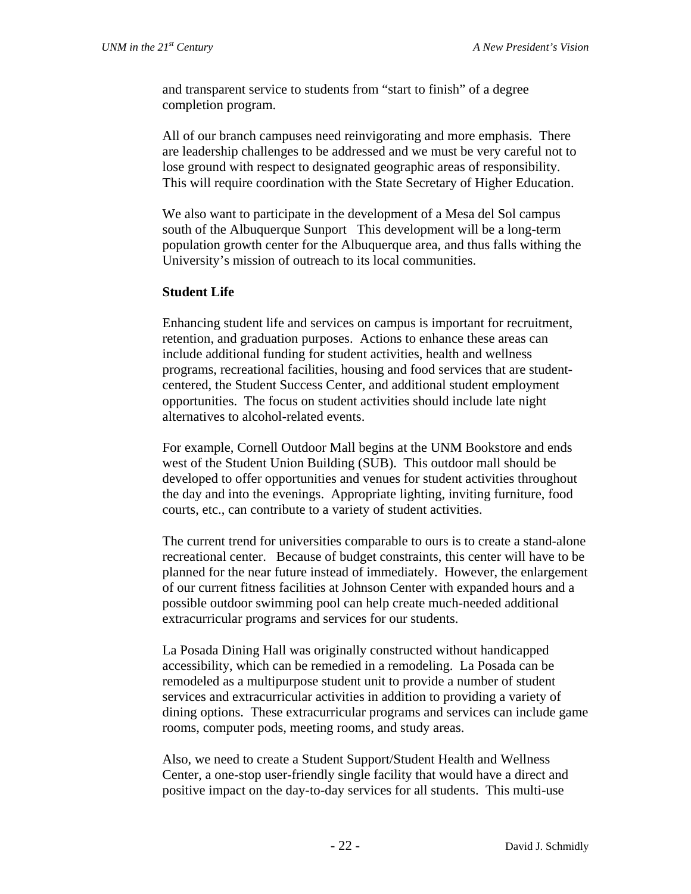and transparent service to students from "start to finish" of a degree completion program.

All of our branch campuses need reinvigorating and more emphasis. There are leadership challenges to be addressed and we must be very careful not to lose ground with respect to designated geographic areas of responsibility. This will require coordination with the State Secretary of Higher Education.

We also want to participate in the development of a Mesa del Sol campus south of the Albuquerque Sunport This development will be a long-term population growth center for the Albuquerque area, and thus falls withing the University's mission of outreach to its local communities.

## **Student Life**

Enhancing student life and services on campus is important for recruitment, retention, and graduation purposes. Actions to enhance these areas can include additional funding for student activities, health and wellness programs, recreational facilities, housing and food services that are studentcentered, the Student Success Center, and additional student employment opportunities. The focus on student activities should include late night alternatives to alcohol-related events.

For example, Cornell Outdoor Mall begins at the UNM Bookstore and ends west of the Student Union Building (SUB). This outdoor mall should be developed to offer opportunities and venues for student activities throughout the day and into the evenings. Appropriate lighting, inviting furniture, food courts, etc., can contribute to a variety of student activities.

The current trend for universities comparable to ours is to create a stand-alone recreational center. Because of budget constraints, this center will have to be planned for the near future instead of immediately. However, the enlargement of our current fitness facilities at Johnson Center with expanded hours and a possible outdoor swimming pool can help create much-needed additional extracurricular programs and services for our students.

La Posada Dining Hall was originally constructed without handicapped accessibility, which can be remedied in a remodeling. La Posada can be remodeled as a multipurpose student unit to provide a number of student services and extracurricular activities in addition to providing a variety of dining options. These extracurricular programs and services can include game rooms, computer pods, meeting rooms, and study areas.

Also, we need to create a Student Support/Student Health and Wellness Center, a one-stop user-friendly single facility that would have a direct and positive impact on the day-to-day services for all students. This multi-use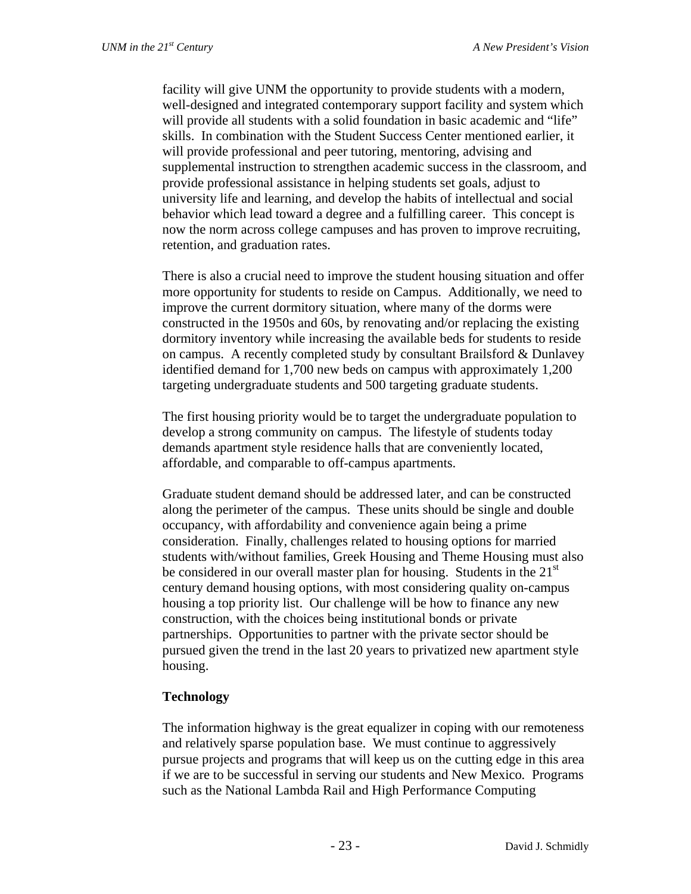facility will give UNM the opportunity to provide students with a modern, well-designed and integrated contemporary support facility and system which will provide all students with a solid foundation in basic academic and "life" skills. In combination with the Student Success Center mentioned earlier, it will provide professional and peer tutoring, mentoring, advising and supplemental instruction to strengthen academic success in the classroom, and provide professional assistance in helping students set goals, adjust to university life and learning, and develop the habits of intellectual and social behavior which lead toward a degree and a fulfilling career. This concept is now the norm across college campuses and has proven to improve recruiting, retention, and graduation rates.

There is also a crucial need to improve the student housing situation and offer more opportunity for students to reside on Campus. Additionally, we need to improve the current dormitory situation, where many of the dorms were constructed in the 1950s and 60s, by renovating and/or replacing the existing dormitory inventory while increasing the available beds for students to reside on campus. A recently completed study by consultant Brailsford & Dunlavey identified demand for 1,700 new beds on campus with approximately 1,200 targeting undergraduate students and 500 targeting graduate students.

The first housing priority would be to target the undergraduate population to develop a strong community on campus. The lifestyle of students today demands apartment style residence halls that are conveniently located, affordable, and comparable to off-campus apartments.

Graduate student demand should be addressed later, and can be constructed along the perimeter of the campus. These units should be single and double occupancy, with affordability and convenience again being a prime consideration. Finally, challenges related to housing options for married students with/without families, Greek Housing and Theme Housing must also be considered in our overall master plan for housing. Students in the  $21<sup>st</sup>$ century demand housing options, with most considering quality on-campus housing a top priority list. Our challenge will be how to finance any new construction, with the choices being institutional bonds or private partnerships. Opportunities to partner with the private sector should be pursued given the trend in the last 20 years to privatized new apartment style housing.

#### **Technology**

The information highway is the great equalizer in coping with our remoteness and relatively sparse population base. We must continue to aggressively pursue projects and programs that will keep us on the cutting edge in this area if we are to be successful in serving our students and New Mexico*.* Programs such as the National Lambda Rail and High Performance Computing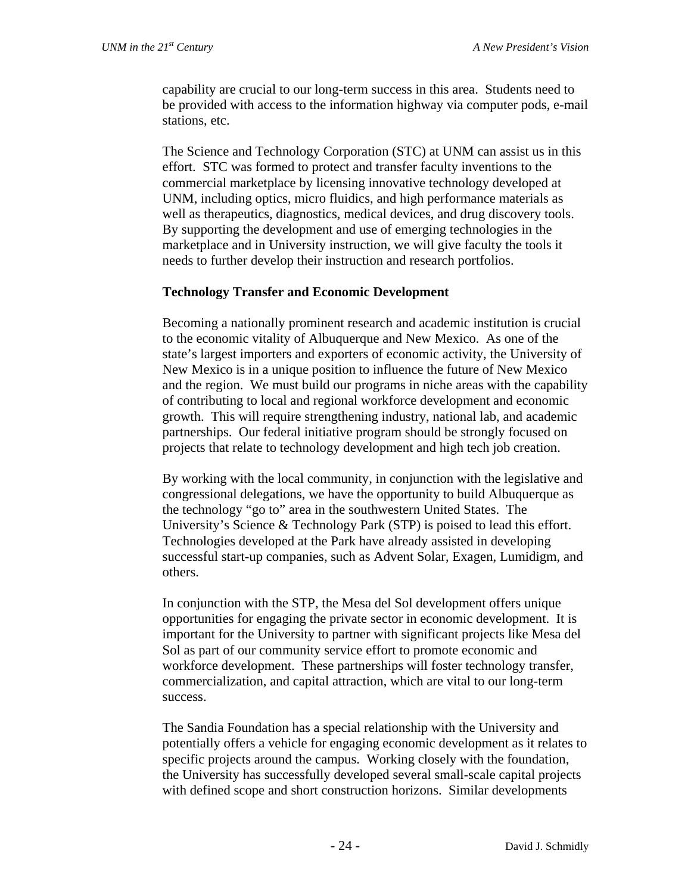capability are crucial to our long-term success in this area. Students need to be provided with access to the information highway via computer pods, e-mail stations, etc.

The Science and Technology Corporation (STC) at UNM can assist us in this effort. STC was formed to protect and transfer faculty inventions to the commercial marketplace by licensing innovative technology developed at UNM, including optics, micro fluidics, and high performance materials as well as therapeutics, diagnostics, medical devices, and drug discovery tools. By supporting the development and use of emerging technologies in the marketplace and in University instruction, we will give faculty the tools it needs to further develop their instruction and research portfolios.

## **Technology Transfer and Economic Development**

Becoming a nationally prominent research and academic institution is crucial to the economic vitality of Albuquerque and New Mexico. As one of the state's largest importers and exporters of economic activity, the University of New Mexico is in a unique position to influence the future of New Mexico and the region. We must build our programs in niche areas with the capability of contributing to local and regional workforce development and economic growth. This will require strengthening industry, national lab, and academic partnerships. Our federal initiative program should be strongly focused on projects that relate to technology development and high tech job creation.

By working with the local community, in conjunction with the legislative and congressional delegations, we have the opportunity to build Albuquerque as the technology "go to" area in the southwestern United States. The University's Science & Technology Park (STP) is poised to lead this effort. Technologies developed at the Park have already assisted in developing successful start-up companies, such as Advent Solar, Exagen, Lumidigm, and others.

In conjunction with the STP, the Mesa del Sol development offers unique opportunities for engaging the private sector in economic development. It is important for the University to partner with significant projects like Mesa del Sol as part of our community service effort to promote economic and workforce development. These partnerships will foster technology transfer, commercialization, and capital attraction, which are vital to our long-term success.

The Sandia Foundation has a special relationship with the University and potentially offers a vehicle for engaging economic development as it relates to specific projects around the campus. Working closely with the foundation, the University has successfully developed several small-scale capital projects with defined scope and short construction horizons. Similar developments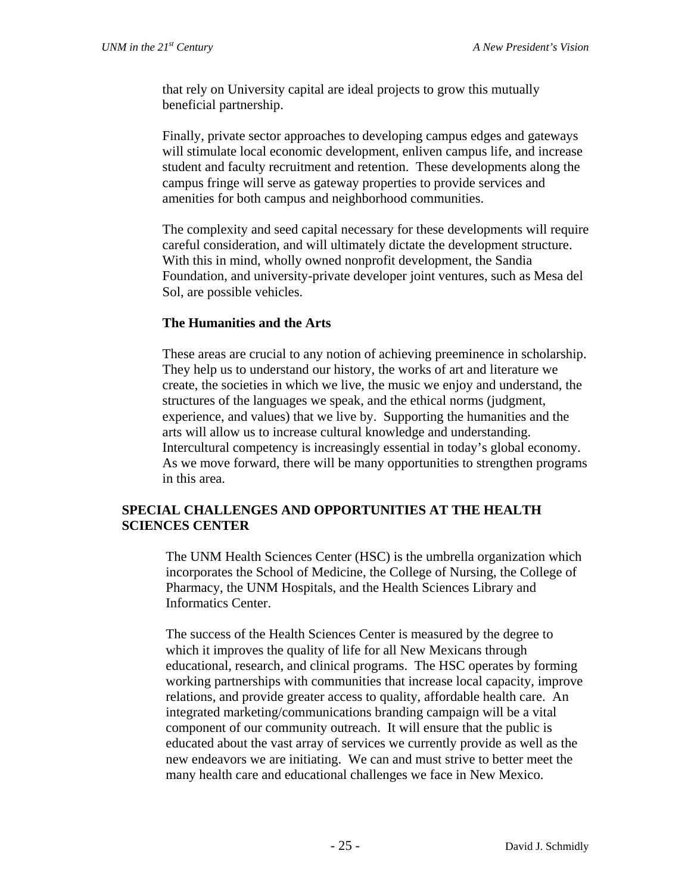that rely on University capital are ideal projects to grow this mutually beneficial partnership.

Finally, private sector approaches to developing campus edges and gateways will stimulate local economic development, enliven campus life, and increase student and faculty recruitment and retention. These developments along the campus fringe will serve as gateway properties to provide services and amenities for both campus and neighborhood communities.

The complexity and seed capital necessary for these developments will require careful consideration, and will ultimately dictate the development structure. With this in mind, wholly owned nonprofit development, the Sandia Foundation, and university-private developer joint ventures, such as Mesa del Sol, are possible vehicles.

#### **The Humanities and the Arts**

These areas are crucial to any notion of achieving preeminence in scholarship. They help us to understand our history, the works of art and literature we create, the societies in which we live, the music we enjoy and understand, the structures of the languages we speak, and the ethical norms (judgment, experience, and values) that we live by. Supporting the humanities and the arts will allow us to increase cultural knowledge and understanding. Intercultural competency is increasingly essential in today's global economy. As we move forward, there will be many opportunities to strengthen programs in this area.

#### **SPECIAL CHALLENGES AND OPPORTUNITIES AT THE HEALTH SCIENCES CENTER**

The UNM Health Sciences Center (HSC) is the umbrella organization which incorporates the School of Medicine, the College of Nursing, the College of Pharmacy, the UNM Hospitals, and the Health Sciences Library and Informatics Center.

The success of the Health Sciences Center is measured by the degree to which it improves the quality of life for all New Mexicans through educational, research, and clinical programs. The HSC operates by forming working partnerships with communities that increase local capacity, improve relations, and provide greater access to quality, affordable health care. An integrated marketing/communications branding campaign will be a vital component of our community outreach. It will ensure that the public is educated about the vast array of services we currently provide as well as the new endeavors we are initiating. We can and must strive to better meet the many health care and educational challenges we face in New Mexico.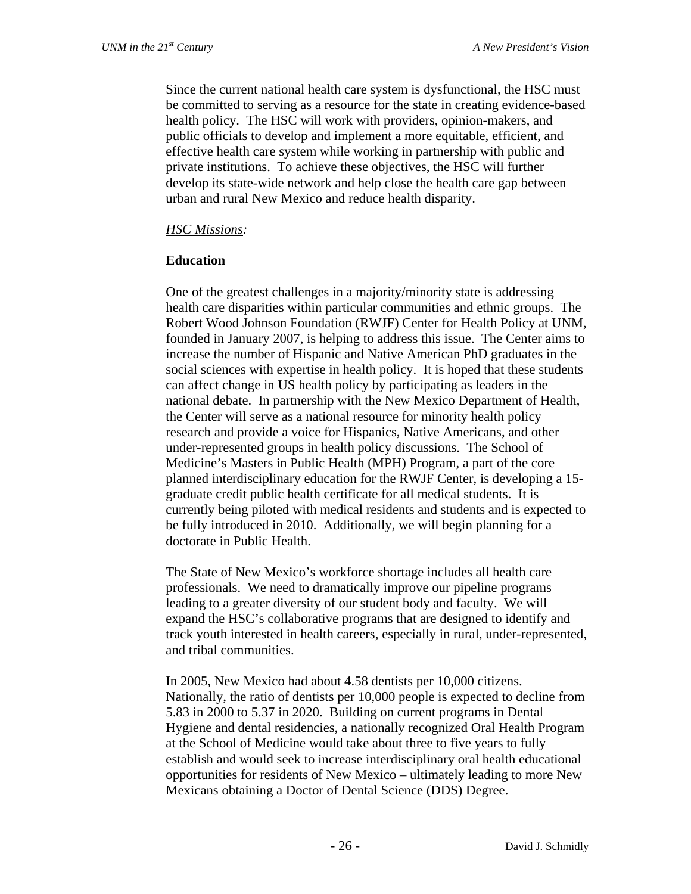Since the current national health care system is dysfunctional, the HSC must be committed to serving as a resource for the state in creating evidence-based health policy. The HSC will work with providers, opinion-makers, and public officials to develop and implement a more equitable, efficient, and effective health care system while working in partnership with public and private institutions. To achieve these objectives, the HSC will further develop its state-wide network and help close the health care gap between urban and rural New Mexico and reduce health disparity.

## *HSC Missions:*

## **Education**

One of the greatest challenges in a majority/minority state is addressing health care disparities within particular communities and ethnic groups. The Robert Wood Johnson Foundation (RWJF) Center for Health Policy at UNM, founded in January 2007, is helping to address this issue. The Center aims to increase the number of Hispanic and Native American PhD graduates in the social sciences with expertise in health policy. It is hoped that these students can affect change in US health policy by participating as leaders in the national debate. In partnership with the New Mexico Department of Health, the Center will serve as a national resource for minority health policy research and provide a voice for Hispanics, Native Americans, and other under-represented groups in health policy discussions. The School of Medicine's Masters in Public Health (MPH) Program, a part of the core planned interdisciplinary education for the RWJF Center, is developing a 15 graduate credit public health certificate for all medical students. It is currently being piloted with medical residents and students and is expected to be fully introduced in 2010. Additionally, we will begin planning for a doctorate in Public Health.

The State of New Mexico's workforce shortage includes all health care professionals. We need to dramatically improve our pipeline programs leading to a greater diversity of our student body and faculty. We will expand the HSC's collaborative programs that are designed to identify and track youth interested in health careers, especially in rural, under-represented, and tribal communities.

In 2005, New Mexico had about 4.58 dentists per 10,000 citizens. Nationally, the ratio of dentists per 10,000 people is expected to decline from 5.83 in 2000 to 5.37 in 2020. Building on current programs in Dental Hygiene and dental residencies, a nationally recognized Oral Health Program at the School of Medicine would take about three to five years to fully establish and would seek to increase interdisciplinary oral health educational opportunities for residents of New Mexico – ultimately leading to more New Mexicans obtaining a Doctor of Dental Science (DDS) Degree.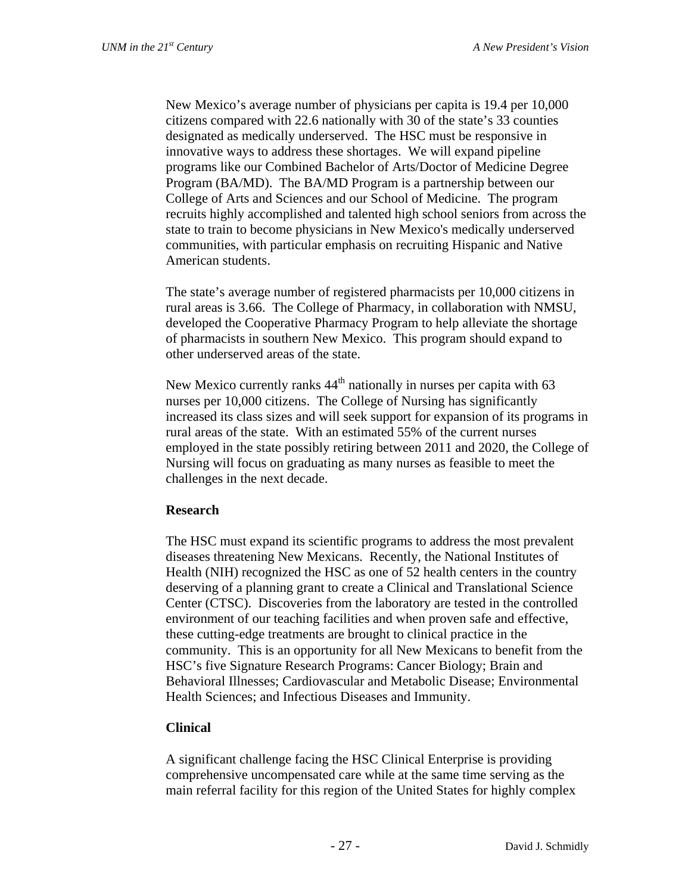New Mexico's average number of physicians per capita is 19.4 per 10,000 citizens compared with 22.6 nationally with 30 of the state's 33 counties designated as medically underserved. The HSC must be responsive in innovative ways to address these shortages. We will expand pipeline programs like our Combined Bachelor of Arts/Doctor of Medicine Degree Program (BA/MD). The BA/MD Program is a partnership between our College of Arts and Sciences and our School of Medicine. The program recruits highly accomplished and talented high school seniors from across the state to train to become physicians in New Mexico's medically underserved communities, with particular emphasis on recruiting Hispanic and Native American students.

The state's average number of registered pharmacists per 10,000 citizens in rural areas is 3.66. The College of Pharmacy, in collaboration with NMSU, developed the Cooperative Pharmacy Program to help alleviate the shortage of pharmacists in southern New Mexico. This program should expand to other underserved areas of the state.

New Mexico currently ranks  $44<sup>th</sup>$  nationally in nurses per capita with 63 nurses per 10,000 citizens. The College of Nursing has significantly increased its class sizes and will seek support for expansion of its programs in rural areas of the state. With an estimated 55% of the current nurses employed in the state possibly retiring between 2011 and 2020, the College of Nursing will focus on graduating as many nurses as feasible to meet the challenges in the next decade.

#### **Research**

The HSC must expand its scientific programs to address the most prevalent diseases threatening New Mexicans. Recently, the National Institutes of Health (NIH) recognized the HSC as one of 52 health centers in the country deserving of a planning grant to create a Clinical and Translational Science Center (CTSC). Discoveries from the laboratory are tested in the controlled environment of our teaching facilities and when proven safe and effective, these cutting-edge treatments are brought to clinical practice in the community. This is an opportunity for all New Mexicans to benefit from the HSC's five Signature Research Programs: Cancer Biology; Brain and Behavioral Illnesses; Cardiovascular and Metabolic Disease; Environmental Health Sciences; and Infectious Diseases and Immunity.

## **Clinical**

A significant challenge facing the HSC Clinical Enterprise is providing comprehensive uncompensated care while at the same time serving as the main referral facility for this region of the United States for highly complex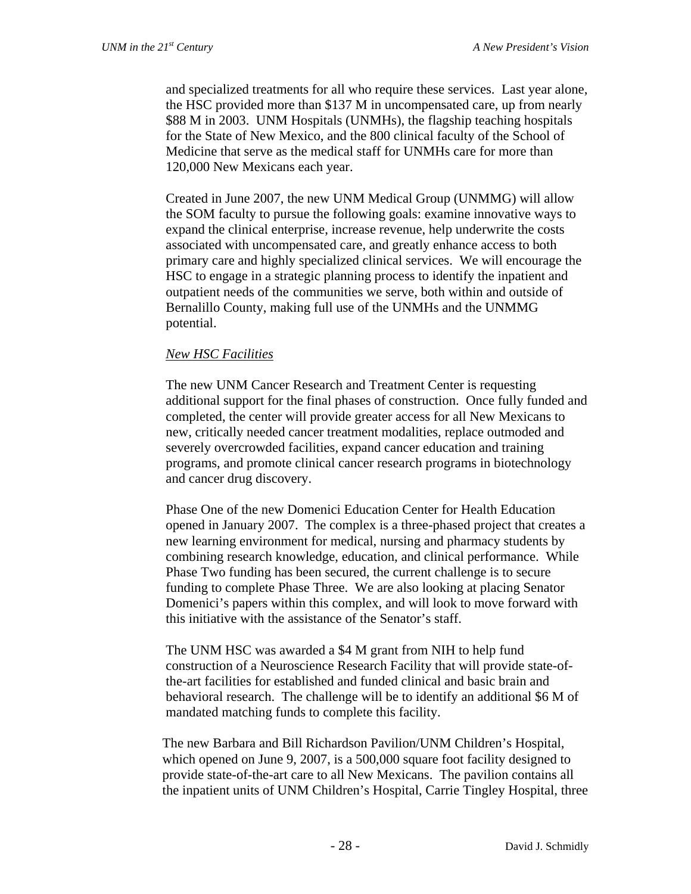and specialized treatments for all who require these services. Last year alone, the HSC provided more than \$137 M in uncompensated care, up from nearly \$88 M in 2003. UNM Hospitals (UNMHs), the flagship teaching hospitals for the State of New Mexico, and the 800 clinical faculty of the School of Medicine that serve as the medical staff for UNMHs care for more than 120,000 New Mexicans each year.

Created in June 2007, the new UNM Medical Group (UNMMG) will allow the SOM faculty to pursue the following goals: examine innovative ways to expand the clinical enterprise, increase revenue, help underwrite the costs associated with uncompensated care, and greatly enhance access to both primary care and highly specialized clinical services. We will encourage the HSC to engage in a strategic planning process to identify the inpatient and outpatient needs of the communities we serve, both within and outside of Bernalillo County, making full use of the UNMHs and the UNMMG potential.

## *New HSC Facilities*

The new UNM Cancer Research and Treatment Center is requesting additional support for the final phases of construction. Once fully funded and completed, the center will provide greater access for all New Mexicans to new, critically needed cancer treatment modalities, replace outmoded and severely overcrowded facilities, expand cancer education and training programs, and promote clinical cancer research programs in biotechnology and cancer drug discovery.

Phase One of the new Domenici Education Center for Health Education opened in January 2007. The complex is a three-phased project that creates a new learning environment for medical, nursing and pharmacy students by combining research knowledge, education, and clinical performance. While Phase Two funding has been secured, the current challenge is to secure funding to complete Phase Three. We are also looking at placing Senator Domenici's papers within this complex, and will look to move forward with this initiative with the assistance of the Senator's staff.

The UNM HSC was awarded a \$4 M grant from NIH to help fund construction of a Neuroscience Research Facility that will provide state-ofthe-art facilities for established and funded clinical and basic brain and behavioral research. The challenge will be to identify an additional \$6 M of mandated matching funds to complete this facility.

The new Barbara and Bill Richardson Pavilion/UNM Children's Hospital, which opened on June 9, 2007, is a 500,000 square foot facility designed to provide state-of-the-art care to all New Mexicans. The pavilion contains all the inpatient units of UNM Children's Hospital, Carrie Tingley Hospital, three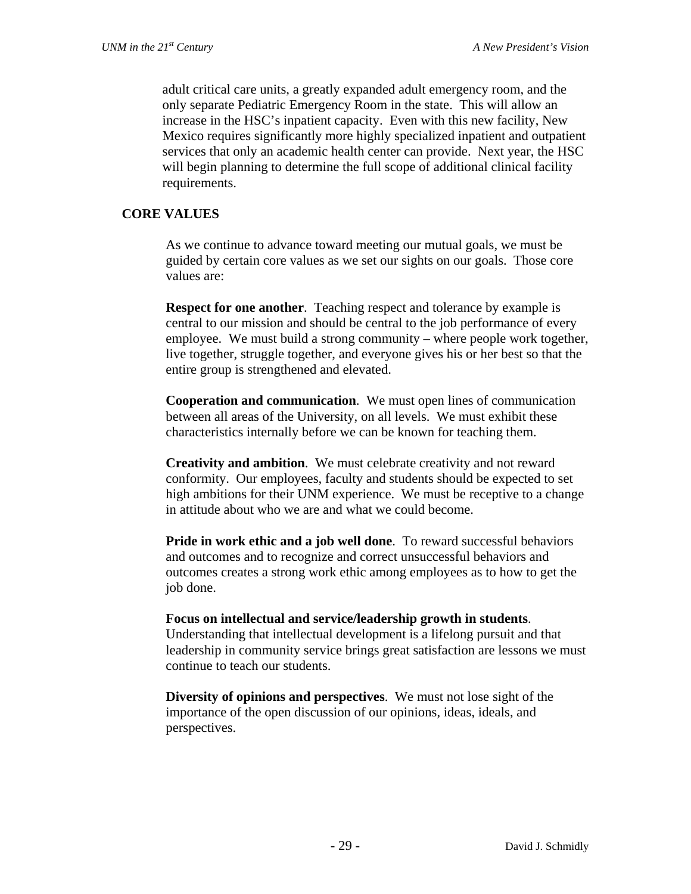adult critical care units, a greatly expanded adult emergency room, and the only separate Pediatric Emergency Room in the state. This will allow an increase in the HSC's inpatient capacity. Even with this new facility, New Mexico requires significantly more highly specialized inpatient and outpatient services that only an academic health center can provide. Next year, the HSC will begin planning to determine the full scope of additional clinical facility requirements.

## **CORE VALUES**

As we continue to advance toward meeting our mutual goals, we must be guided by certain core values as we set our sights on our goals. Those core values are:

**Respect for one another.** Teaching respect and tolerance by example is central to our mission and should be central to the job performance of every employee. We must build a strong community – where people work together, live together, struggle together, and everyone gives his or her best so that the entire group is strengthened and elevated.

**Cooperation and communication**. We must open lines of communication between all areas of the University, on all levels. We must exhibit these characteristics internally before we can be known for teaching them.

**Creativity and ambition**. We must celebrate creativity and not reward conformity. Our employees, faculty and students should be expected to set high ambitions for their UNM experience. We must be receptive to a change in attitude about who we are and what we could become.

**Pride in work ethic and a job well done**. To reward successful behaviors and outcomes and to recognize and correct unsuccessful behaviors and outcomes creates a strong work ethic among employees as to how to get the job done.

**Focus on intellectual and service/leadership growth in students**. Understanding that intellectual development is a lifelong pursuit and that leadership in community service brings great satisfaction are lessons we must continue to teach our students.

**Diversity of opinions and perspectives**. We must not lose sight of the importance of the open discussion of our opinions, ideas, ideals, and perspectives.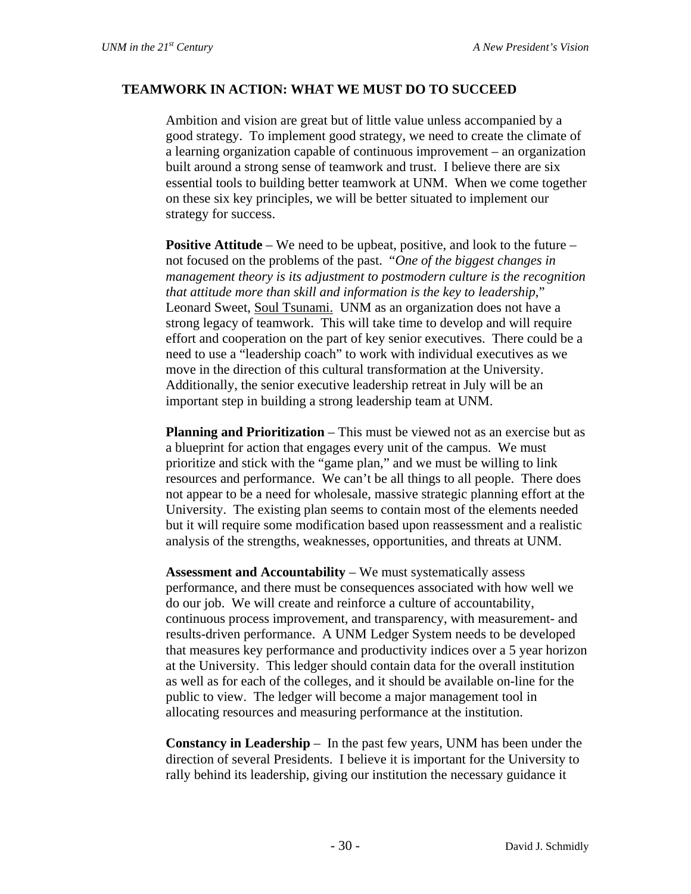#### **TEAMWORK IN ACTION: WHAT WE MUST DO TO SUCCEED**

Ambition and vision are great but of little value unless accompanied by a good strategy. To implement good strategy, we need to create the climate of a learning organization capable of continuous improvement – an organization built around a strong sense of teamwork and trust. I believe there are six essential tools to building better teamwork at UNM. When we come together on these six key principles, we will be better situated to implement our strategy for success.

**Positive Attitude** – We need to be upbeat, positive, and look to the future – not focused on the problems of the past. "*One of the biggest changes in management theory is its adjustment to postmodern culture is the recognition that attitude more than skill and information is the key to leadership*," Leonard Sweet, Soul Tsunami. UNM as an organization does not have a strong legacy of teamwork. This will take time to develop and will require effort and cooperation on the part of key senior executives. There could be a need to use a "leadership coach" to work with individual executives as we move in the direction of this cultural transformation at the University. Additionally, the senior executive leadership retreat in July will be an important step in building a strong leadership team at UNM.

**Planning and Prioritization** – This must be viewed not as an exercise but as a blueprint for action that engages every unit of the campus. We must prioritize and stick with the "game plan," and we must be willing to link resources and performance. We can't be all things to all people. There does not appear to be a need for wholesale, massive strategic planning effort at the University. The existing plan seems to contain most of the elements needed but it will require some modification based upon reassessment and a realistic analysis of the strengths, weaknesses, opportunities, and threats at UNM.

**Assessment and Accountability** – We must systematically assess performance, and there must be consequences associated with how well we do our job. We will create and reinforce a culture of accountability, continuous process improvement, and transparency, with measurement- and results-driven performance. A UNM Ledger System needs to be developed that measures key performance and productivity indices over a 5 year horizon at the University. This ledger should contain data for the overall institution as well as for each of the colleges, and it should be available on-line for the public to view. The ledger will become a major management tool in allocating resources and measuring performance at the institution.

**Constancy in Leadership** – In the past few years, UNM has been under the direction of several Presidents. I believe it is important for the University to rally behind its leadership, giving our institution the necessary guidance it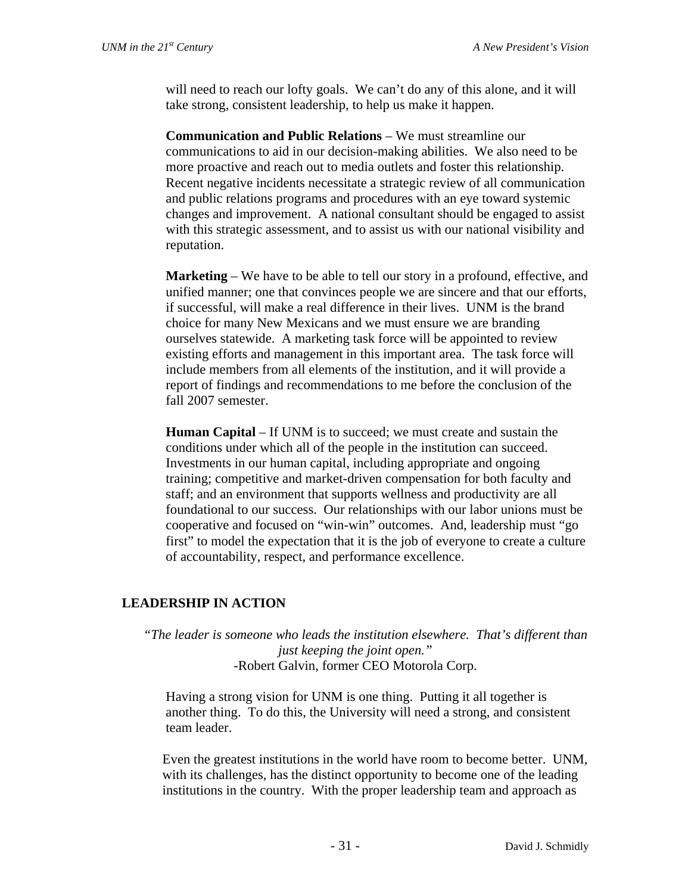will need to reach our lofty goals. We can't do any of this alone, and it will take strong, consistent leadership, to help us make it happen.

**Communication and Public Relations** – We must streamline our communications to aid in our decision-making abilities. We also need to be more proactive and reach out to media outlets and foster this relationship. Recent negative incidents necessitate a strategic review of all communication and public relations programs and procedures with an eye toward systemic changes and improvement. A national consultant should be engaged to assist with this strategic assessment, and to assist us with our national visibility and reputation.

**Marketing** – We have to be able to tell our story in a profound, effective, and unified manner; one that convinces people we are sincere and that our efforts, if successful, will make a real difference in their lives. UNM is the brand choice for many New Mexicans and we must ensure we are branding ourselves statewide. A marketing task force will be appointed to review existing efforts and management in this important area. The task force will include members from all elements of the institution, and it will provide a report of findings and recommendations to me before the conclusion of the fall 2007 semester.

**Human Capital** *–* If UNM is to succeed; we must create and sustain the conditions under which all of the people in the institution can succeed. Investments in our human capital, including appropriate and ongoing training; competitive and market-driven compensation for both faculty and staff; and an environment that supports wellness and productivity are all foundational to our success. Our relationships with our labor unions must be cooperative and focused on "win-win" outcomes. And, leadership must "go first" to model the expectation that it is the job of everyone to create a culture of accountability, respect, and performance excellence.

## **LEADERSHIP IN ACTION**

*"The leader is someone who leads the institution elsewhere. That's different than just keeping the joint open."*  -Robert Galvin, former CEO Motorola Corp.

Having a strong vision for UNM is one thing. Putting it all together is another thing. To do this, the University will need a strong, and consistent team leader.

Even the greatest institutions in the world have room to become better. UNM, with its challenges, has the distinct opportunity to become one of the leading institutions in the country. With the proper leadership team and approach as